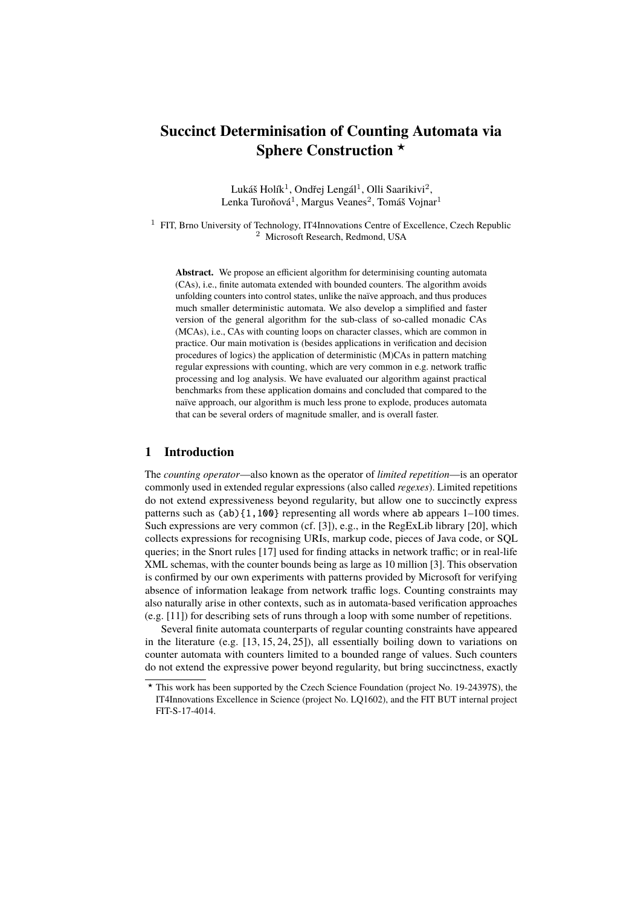# **Succinct Determinisation of Counting Automata via** Sphere Construction<sup>\*</sup>

Lukáš Holík $^1$ , Ondřej Lengál $^1$ , Olli Saarikivi $^2,$ Lenka Turoňová<sup>1</sup>, Margus Veanes<sup>2</sup>, Tomáš Vojnar<sup>1</sup>

<sup>1</sup> FIT, Brno University of Technology, IT4Innovations Centre of Excellence, Czech Republic <sup>2</sup> Microsoft Research, Redmond, USA

**Abstract.** We propose an efficient algorithm for determinising counting automata (CAs), i.e., finite automata extended with bounded counters. The algorithm avoids unfolding counters into control states, unlike the naïve approach, and thus produces much smaller deterministic automata. We also develop a simplified and faster version of the general algorithm for the sub-class of so-called monadic CAs (MCAs), i.e., CAs with counting loops on character classes, which are common in practice. Our main motivation is (besides applications in verification and decision procedures of logics) the application of deterministic (M)CAs in pattern matching regular expressions with counting, which are very common in e.g. network traffic processing and log analysis. We have evaluated our algorithm against practical benchmarks from these application domains and concluded that compared to the naïve approach, our algorithm is much less prone to explode, produces automata that can be several orders of magnitude smaller, and is overall faster.

# **1 Introduction**

The *counting operator*—also known as the operator of *limited repetition*—is an operator commonly used in extended regular expressions (also called *regexes*). Limited repetitions do not extend expressiveness beyond regularity, but allow one to succinctly express patterns such as (ab)  $\{1,100\}$  representing all words where ab appears  $1-100$  times. Such expressions are very common (cf. [3]), e.g., in the RegExLib library [20], which collects expressions for recognising URIs, markup code, pieces of Java code, or SQL queries; in the Snort rules [17] used for finding attacks in network traffic; or in real-life XML schemas, with the counter bounds being as large as 10 million [3]. This observation is confirmed by our own experiments with patterns provided by Microsoft for verifying absence of information leakage from network traffic logs. Counting constraints may also naturally arise in other contexts, such as in automata-based verification approaches (e.g. [11]) for describing sets of runs through a loop with some number of repetitions.

Several finite automata counterparts of regular counting constraints have appeared in the literature (e.g. [13, 15, 24, 25]), all essentially boiling down to variations on counter automata with counters limited to a bounded range of values. Such counters do not extend the expressive power beyond regularity, but bring succinctness, exactly

<sup>?</sup> This work has been supported by the Czech Science Foundation (project No. 19-24397S), the IT4Innovations Excellence in Science (project No. LQ1602), and the FIT BUT internal project FIT-S-17-4014.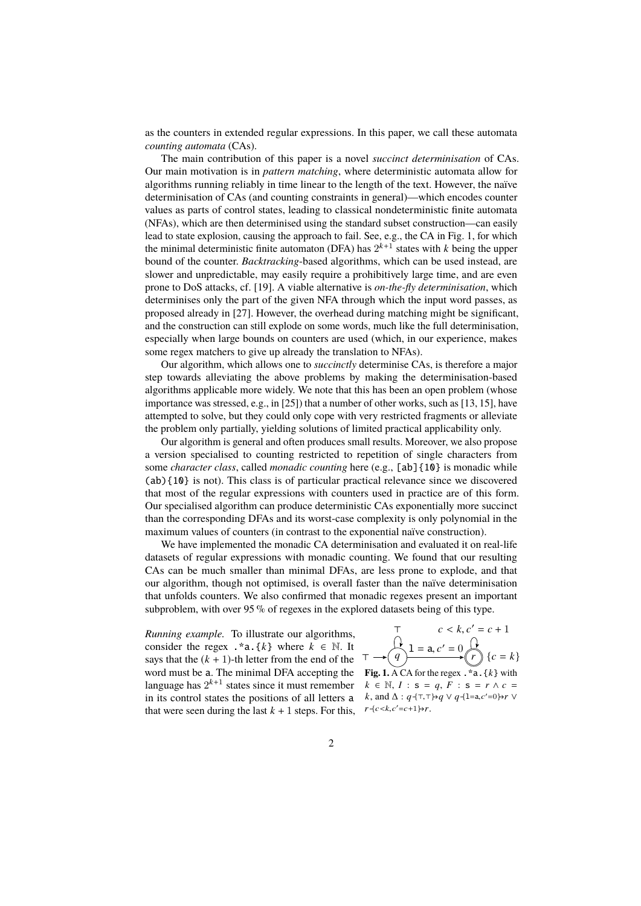as the counters in extended regular expressions. In this paper, we call these automata *counting automata* (CAs).

The main contribution of this paper is a novel *succinct determinisation* of CAs. Our main motivation is in *pattern matching*, where deterministic automata allow for algorithms running reliably in time linear to the length of the text. However, the naïve determinisation of CAs (and counting constraints in general)—which encodes counter values as parts of control states, leading to classical nondeterministic finite automata (NFAs), which are then determinised using the standard subset construction—can easily lead to state explosion, causing the approach to fail. See, e.g., the CA in Fig. 1, for which the minimal deterministic finite automaton (DFA) has  $2^{k+1}$  states with *k* being the upper bound of the counter. *Backtracking*-based algorithms, which can be used instead, are slower and unpredictable, may easily require a prohibitively large time, and are even prone to DoS attacks, cf. [19]. A viable alternative is *on-the-fly determinisation*, which determinises only the part of the given NFA through which the input word passes, as proposed already in [27]. However, the overhead during matching might be significant, and the construction can still explode on some words, much like the full determinisation, especially when large bounds on counters are used (which, in our experience, makes some regex matchers to give up already the translation to NFAs).

Our algorithm, which allows one to *succinctly* determinise CAs, is therefore a major step towards alleviating the above problems by making the determinisation-based algorithms applicable more widely. We note that this has been an open problem (whose importance was stressed, e.g., in [25]) that a number of other works, such as [13, 15], have attempted to solve, but they could only cope with very restricted fragments or alleviate the problem only partially, yielding solutions of limited practical applicability only.

Our algorithm is general and often produces small results. Moreover, we also propose a version specialised to counting restricted to repetition of single characters from some *character class*, called *monadic counting* here (e.g., [ab]{10} is monadic while (ab){10} is not). This class is of particular practical relevance since we discovered that most of the regular expressions with counters used in practice are of this form. Our specialised algorithm can produce deterministic CAs exponentially more succinct than the corresponding DFAs and its worst-case complexity is only polynomial in the maximum values of counters (in contrast to the exponential naïve construction).

We have implemented the monadic CA determinisation and evaluated it on real-life datasets of regular expressions with monadic counting. We found that our resulting CAs can be much smaller than minimal DFAs, are less prone to explode, and that our algorithm, though not optimised, is overall faster than the naïve determinisation that unfolds counters. We also confirmed that monadic regexes present an important subproblem, with over 95 % of regexes in the explored datasets being of this type.

*Running example.* To illustrate our algorithms, consider the regex  $\cdot$  \*a.{*k*} where  $k \in \mathbb{N}$ . It says that the  $(k + 1)$ -th letter from the end of the word must be a. The minimal DFA accepting the language has  $2^{k+1}$  states since it must remember in its control states the positions of all letters a that were seen during the last  $k + 1$  steps. For this,

$$
\begin{array}{ccc}\n\uparrow & c < k, c' = c + 1 \\
\uparrow & \downarrow & \downarrow & \downarrow & \downarrow \\
\uparrow & \rightarrow & \downarrow & \downarrow & \downarrow & \downarrow \\
\downarrow & \downarrow & \downarrow & \downarrow & \downarrow & \downarrow \\
\downarrow & \downarrow & \downarrow & \downarrow & \downarrow & \downarrow \\
k \in \mathbb{N}, I : s = q, F : s = r \land c = k, \text{ and } \Delta : q \{\tau, \tau\} \rightarrow q \lor q \text{ (1 = a, c' = 0)} \rightarrow r \lor \\
r \text{ (c < k, c' = c + 1)} \rightarrow r.\n\end{array}
$$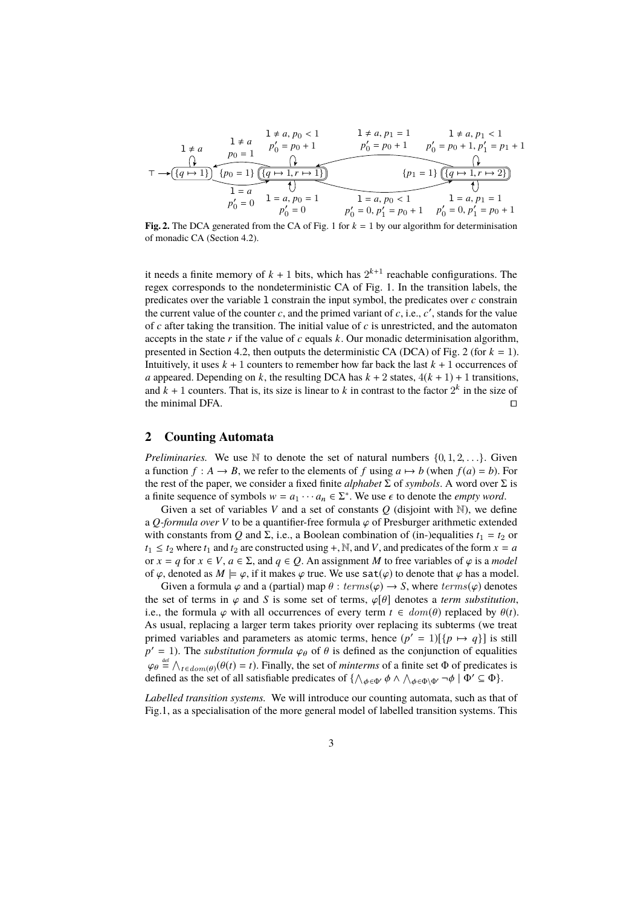$$
1 \neq a
$$
\n
$$
1 \neq a
$$
\n
$$
1 \neq a, p_0 < 1
$$
\n
$$
1 \neq a, p_1 = 1
$$
\n
$$
1 \neq a, p_1 < 1
$$
\n
$$
p'_0 = p_0 + 1
$$
\n
$$
p'_0 = p_0 + 1
$$
\n
$$
p'_0 = p_0 + 1
$$
\n
$$
p'_1 = p_0 + 1, p'_1 = p_1 + 1
$$
\n
$$
p'_0 = p_0 + 1, p'_1 = p_1 + 1
$$
\n
$$
p'_0 = 0
$$
\n
$$
p'_0 = 0
$$
\n
$$
p'_0 = 0
$$
\n
$$
p'_0 = 0
$$
\n
$$
p'_1 = p_0 + 1
$$
\n
$$
p'_0 = 0, p'_1 = p_0 + 1
$$
\n
$$
p'_0 = 0, p'_1 = p_0 + 1
$$
\n
$$
p'_0 = 0, p'_1 = p_0 + 1
$$

**Fig. 2.** The DCA generated from the CA of Fig. 1 for  $k = 1$  by our algorithm for determinisation of monadic CA (Section 4.2).

it needs a finite memory of  $k + 1$  bits, which has  $2^{k+1}$  reachable configurations. The regex corresponds to the nondeterministic CA of Fig. 1. In the transition labels, the predicates over the variable l constrain the input symbol, the predicates over *c* constrain the current value of the counter  $c$ , and the primed variant of  $c$ , i.e.,  $c'$ , stands for the value of *c* after taking the transition. The initial value of *c* is unrestricted, and the automaton accepts in the state  $r$  if the value of  $c$  equals  $k$ . Our monadic determinisation algorithm, presented in Section 4.2, then outputs the deterministic CA (DCA) of Fig. 2 (for  $k = 1$ ). Intuitively, it uses  $k + 1$  counters to remember how far back the last  $k + 1$  occurrences of *a* appeared. Depending on *k*, the resulting DCA has  $k + 2$  states,  $4(k + 1) + 1$  transitions, and  $k + 1$  counters. That is, its size is linear to  $k$  in contrast to the factor  $2^k$  in the size of the minimal DFA.  $\Box$ 

## **2 Counting Automata**

*Preliminaries.* We use  $\mathbb N$  to denote the set of natural numbers  $\{0, 1, 2, \ldots\}$ . Given a function  $f : A \rightarrow B$ , we refer to the elements of f using  $a \mapsto b$  (when  $f(a) = b$ ). For the rest of the paper, we consider a fixed finite *alphabet*  $\Sigma$  of *symbols*. A word over  $\Sigma$  is a finite sequence of symbols  $w = a_1 \cdots a_n \in \Sigma^*$ . We use  $\epsilon$  to denote the *empty word*.<br>Given a set of variables V and a set of constants O (disjoint with N), we define

Given a set of variables *V* and a set of constants  $Q$  (disjoint with  $\mathbb{N}$ ), we define a *Q*-formula over *V* to be a quantifier-free formula  $\varphi$  of Presburger arithmetic extended with constants from *Q* and  $\Sigma$ , i.e., a Boolean combination of (in-)equalities  $t_1 = t_2$  or  $t_1 \le t_2$  where  $t_1$  and  $t_2$  are constructed using  $+$ , N, and *V*, and predicates of the form  $x = a$ or  $x = q$  for  $x \in V$ ,  $a \in \Sigma$ , and  $q \in Q$ . An assignment *M* to free variables of  $\varphi$  is a *model* of  $\varphi$ , denoted as  $M \models \varphi$ , if it makes  $\varphi$  true. We use  $\text{sat}(\varphi)$  to denote that  $\varphi$  has a model.

Given a formula  $\varphi$  and a (partial) map  $\theta : terms(\varphi) \rightarrow S$ , where  $terms(\varphi)$  denotes the set of terms in  $\varphi$  and *S* is some set of terms,  $\varphi[\theta]$  denotes a *term substitution*, i.e., the formula  $\varphi$  with all occurrences of every term  $t \in dom(\theta)$  replaced by  $\theta(t)$ . As usual, replacing a larger term takes priority over replacing its subterms (we treat primed variables and parameters as atomic terms, hence  $(p' = 1)[\{p \mapsto q\}]$  is still  $p' = 1$ ). The *substitution formula*  $\varphi_{\theta}$  of  $\theta$  is defined as the conjunction of equalities  $\varphi_{\theta} = \bigwedge_{t \in dom(\theta)} (b(t) = t)$ . Finally, the set of *miniterms* of a limite set  $\Phi$  of predicates defined as the set of all satisfiable predicates of  $\{\bigwedge_{\phi \in \Phi'} \phi \land \bigwedge_{\phi \in \Phi \setminus \Phi'} \neg \phi \mid \Phi' \subseteq \Phi\}$ .  $\det^{\text{def}} \bigwedge_{t \in dom(\theta)} (\theta(t) = t)$ . Finally, the set of *minterms* of a finite set  $\Phi$  of predicates is need as the set of all satisfiable predicates of  $\{\wedge_{n \in \mathbb{N}}, \wedge_{n \in \mathbb{N}}, \neg \phi \mid \Phi' \subseteq \Phi\}$ 

*Labelled transition systems.* We will introduce our counting automata, such as that of Fig.1, as a specialisation of the more general model of labelled transition systems. This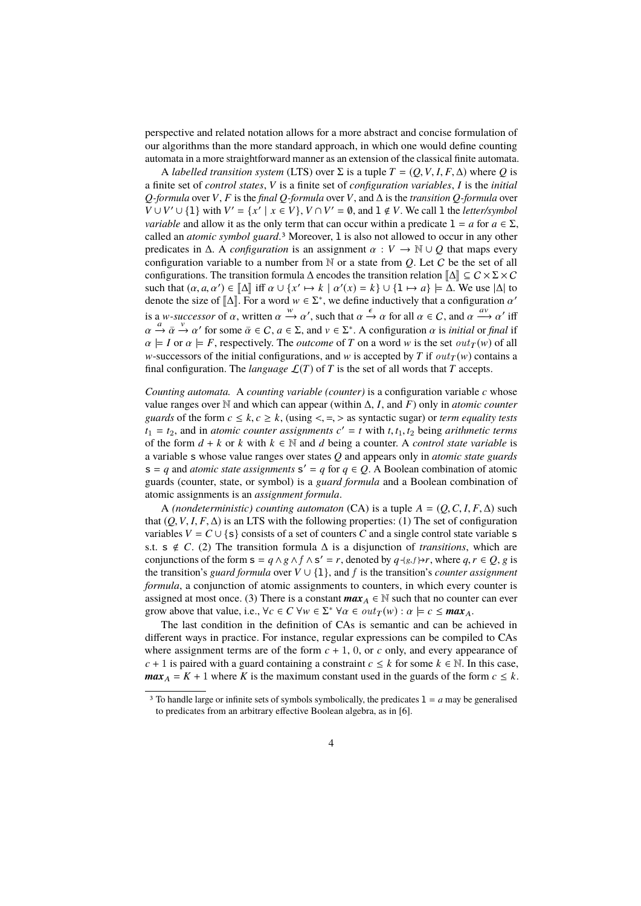perspective and related notation allows for a more abstract and concise formulation of our algorithms than the more standard approach, in which one would define counting automata in a more straightforward manner as an extension of the classical finite automata.

A *labelled transition system* (LTS) over  $\Sigma$  is a tuple  $T = (O, V, I, F, \Delta)$  where O is a finite set of *control states*, *V* is a finite set of *configuration variables*, *I* is the *initial Q*<sup>-formula over *V*, *F* is the *final Q*-formula over *V*, and  $\Delta$  is the *transition Q*-formula over</sup> *V* ∪  $V'$  ∪ {1} with  $V' = \{x' \mid x \in V\}$ ,  $V \cap V' = \emptyset$ , and  $1 \notin V$ . We call 1 the *letter/symbol variable* and allow it as the only term that can occur within a predicate  $1 = a$  for  $a \in \Sigma$ , called an *atomic symbol guard*.3 Moreover, l is also not allowed to occur in any other predicates in  $\Delta$ . A *configuration* is an assignment  $\alpha : V \to \mathbb{N} \cup Q$  that maps every configuration variable to a number from N or a state from *Q*. Let C be the set of all configurations. The transition formula  $\Delta$  encodes the transition relation  $\llbracket \Delta \rrbracket \subseteq C \times \Sigma \times C$ such that  $(\alpha, a, \alpha') \in [\![\Delta]\!]$  iff  $\alpha \cup \{x' \mapsto k \mid \alpha'(x) = k\} \cup \{1 \mapsto a\} \models \Delta$ . We use  $|\Delta|$  to denote the size of  $[\![\Delta]\!]$  For a word  $w \in \Sigma^*$  we define inductively that a configuration  $\alpha'$ denote the size of  $[\Delta]$ . For a word  $w \in \Sigma^*$ , we define inductively that a configuration  $\alpha'$ is a w-successor of  $\alpha$ , written  $\alpha \xrightarrow{w} \alpha'$ , such that  $\alpha \xrightarrow{\epsilon} \alpha$  for all  $\alpha \in C$ , and  $\alpha \xrightarrow{av} \alpha'$  iff  $\alpha \models I$  or  $\alpha \models F$ , respectively. The *outcome* of *T* on a word w is the set  $out_T(w)$  of all w-successors of the initial configurations, and w is accepted by *T* if  $out_T(w)$  contains a  $\stackrel{a}{\rightarrow} \bar{\alpha} \stackrel{v}{\rightarrow} \alpha'$  for some  $\bar{\alpha} \in C$ ,  $a \in \Sigma$ , and  $v \in \Sigma^*$ . A configuration  $\alpha$  is *initial* or *final* if  $\vdash I$  or  $\alpha \vdash F$  respectively. The *outcome* of T on a word w is the set *outr* (w) of all w-successors of the initial configurations, and w is accepted by *T* if  $out_T(w)$  contains a final configuration. The *language*  $\mathcal{L}(T)$  of *T* is the set of all words that *T* accepts.

*Counting automata.* A *counting variable (counter)* is a configuration variable *c* whose value ranges over N and which can appear (within ∆, *I*, and *F*) only in *atomic counter guards* of the form  $c \leq k$ ,  $c \geq k$ , (using  $\lt$ ,  $\lt$ ,  $\gt$  as syntactic sugar) or *term equality tests*  $t_1 = t_2$ , and in *atomic counter assignments*  $c' = t$  with  $t, t_1, t_2$  being *arithmetic terms*<br>of the form  $d + k$  or  $k$  with  $k \in \mathbb{N}$  and  $d$  being a counter. A *control state variable* is of the form  $d + k$  or  $k$  with  $k \in \mathbb{N}$  and  $d$  being a counter. A *control state variable* is a variable s whose value ranges over states *Q* and appears only in *atomic state guards*  $s = q$  and *atomic state assignments*  $s' = q$  for  $q \in Q$ . A Boolean combination of atomic guards (counter, state, or symbol) is a *guard formula* and a Boolean combination of atomic assignments is an *assignment formula*.

A *(nondeterministic) counting automaton (CA)* is a tuple  $A = (Q, C, I, F, \Delta)$  such that  $(O, V, I, F, \Delta)$  is an LTS with the following properties: (1) The set of configuration variables  $V = C \cup \{s\}$  consists of a set of counters *C* and a single control state variable s s.t. s  $\notin$  *C*. (2) The transition formula ∆ is a disjunction of *transitions*, which are conjunctions of the form  $s = q \land g \land f \land s' = r$ , denoted by  $q$ −{g,f}→r, where  $q, r \in Q$ , g is<br>the transition's *quard formula* over  $V \cup \{1\}$  and f is the transition's *counter assignment* the transition's *guard formula* over  $V \cup \{1\}$ , and f is the transition's *counter assignment formula*, a conjunction of atomic assignments to counters, in which every counter is assigned at most once. (3) There is a constant  $max_A \in \mathbb{N}$  such that no counter can ever grow above that value, i.e.,  $\forall c \in C$   $\forall w \in \Sigma^* \forall \alpha \in out_T(w) : \alpha \models c \leq max_A$ .<br>The lest condition in the definition of  $C \Delta s$  is semantic and can be as

The last condition in the definition of CAs is semantic and can be achieved in different ways in practice. For instance, regular expressions can be compiled to CAs where assignment terms are of the form  $c + 1$ , 0, or  $c$  only, and every appearance of *c* + 1 is paired with a guard containing a constraint *c* ≤ *k* for some  $k \in \mathbb{N}$ . In this case,  $max_A = K + 1$  where *K* is the maximum constant used in the guards of the form  $c \le k$ .

<sup>&</sup>lt;sup>3</sup> To handle large or infinite sets of symbols symbolically, the predicates  $1 = a$  may be generalised to predicates from an arbitrary effective Boolean algebra, as in [6].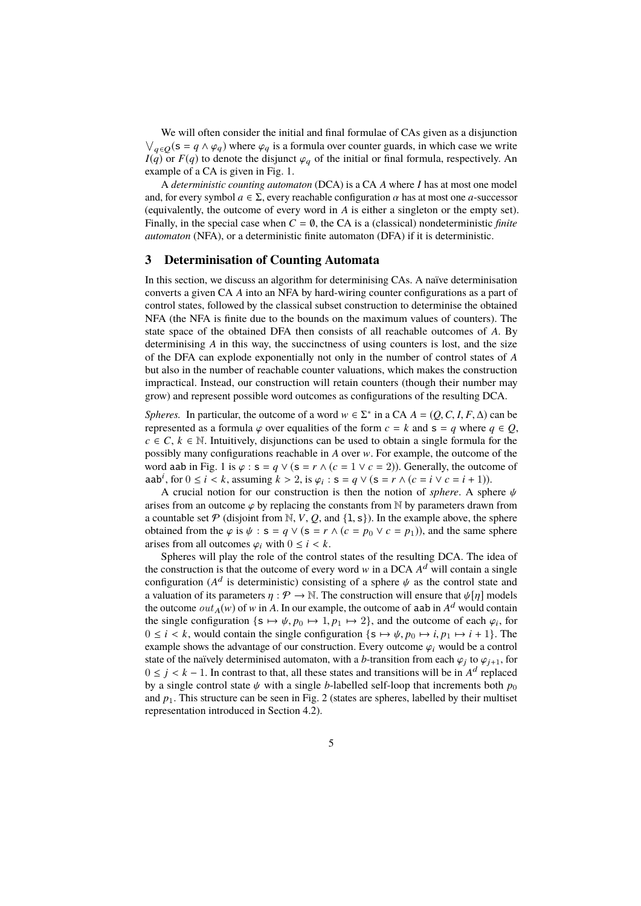We will often consider the initial and final formulae of CAs given as a disjunction  $\bigvee_{q \in Q} (s = q \land \varphi_q)$  where  $\varphi_q$  is a formula over counter guards, in which case we write *I*(*q*) or *F*(*q*) to denote the disjunct  $\varphi_q$  of the initial or final formula, respectively. An example of a CA is given in Fig. 1.

A *deterministic counting automaton* (DCA) is a CA *A* where *I* has at most one model and, for every symbol  $a \in \Sigma$ , every reachable configuration  $\alpha$  has at most one *a*-successor (equivalently, the outcome of every word in *A* is either a singleton or the empty set). Finally, in the special case when  $C = \emptyset$ , the CA is a (classical) nondeterministic *finite automaton* (NFA), or a deterministic finite automaton (DFA) if it is deterministic.

## **3 Determinisation of Counting Automata**

In this section, we discuss an algorithm for determinising CAs. A naïve determinisation converts a given CA *A* into an NFA by hard-wiring counter configurations as a part of control states, followed by the classical subset construction to determinise the obtained NFA (the NFA is finite due to the bounds on the maximum values of counters). The state space of the obtained DFA then consists of all reachable outcomes of *A*. By determinising *A* in this way, the succinctness of using counters is lost, and the size of the DFA can explode exponentially not only in the number of control states of *A* but also in the number of reachable counter valuations, which makes the construction impractical. Instead, our construction will retain counters (though their number may grow) and represent possible word outcomes as configurations of the resulting DCA.

*Spheres.* In particular, the outcome of a word  $w \in \Sigma^*$  in a CA  $A = (Q, C, I, F, \Delta)$  can be represented as a formula  $\omega$  over equalities of the form  $c = k$  and  $s = a$  where  $a \in \Omega$ represented as a formula  $\varphi$  over equalities of the form  $c = k$  and  $s = q$  where  $q \in Q$ ,  $c \in C$ ,  $k \in \mathbb{N}$ . Intuitively, disjunctions can be used to obtain a single formula for the possibly many configurations reachable in *A* over w. For example, the outcome of the word aab in Fig. 1 is  $\varphi$ :  $s = q \vee (s = r \wedge (c = 1 \vee c = 2))$ . Generally, the outcome of aab<sup>*i*</sup>, for  $0 \le i < k$ , assuming  $k > 2$ , is  $\varphi_i : s = q \vee (s = r \wedge (c = i \vee c = i + 1))$ .<br>A crucial notion for our construction is then the notion of sphere. A sph

A crucial notion for our construction is then the notion of *sphere*. A sphere ψ arises from an outcome  $\varphi$  by replacing the constants from N by parameters drawn from a countable set  $P$  (disjoint from  $\mathbb{N}, V, Q$ , and  $\{1, s\}$ ). In the example above, the sphere obtained from the  $\varphi$  is  $\psi$  :  $s = q \vee (s = r \wedge (c = p_0 \vee c = p_1))$ , and the same sphere arises from all outcomes  $\varphi_i$  with  $0 \le i \le k$ .

Spheres will play the role of the control states of the resulting DCA. The idea of the construction is that the outcome of every word  $w$  in a DCA  $A^d$  will contain a single configuration ( $A^d$  is deterministic) consisting of a sphere  $\psi$  as the control state and<br>a valuation of its parameters  $n : \mathcal{P} \to \mathbb{N}$ . The construction will ensure that  $\psi[n]$  models a valuation of its parameters  $\eta : \mathcal{P} \to \mathbb{N}$ . The construction will ensure that  $\psi[\eta]$  models the outcome  $out_A(w)$  of w in *A*. In our example, the outcome of aab in  $A^d$  would contain the single configuration  $\{s \mapsto \psi, p_0 \mapsto 1, p_1 \mapsto 2\}$ , and the outcome of each  $\varphi_i$ , for  $0 \le i \le k$  would contain the single configuration  $\{s \mapsto \psi, p_0 \mapsto i, p_1 \mapsto i+1\}$ . The  $0 \le i \le k$ , would contain the single configuration  $\{s \mapsto \psi, p_0 \mapsto i, p_1 \mapsto i + 1\}$ . The example shows the advantage of our construction. Every outcome  $\varphi_i$  would be a control state of the naïvely determinised automaton, with a *b*-transition from each  $\varphi_j$  to  $\varphi_{j+1}$ , for  $0 \le i \le k-1$ . In contrast to that all these states and transitions will be in  $A^d$  replaced  $0 \leq j \leq k - 1$ . In contrast to that, all these states and transitions will be in  $A^d$  replaced<br>by a single control state  $\psi$  with a single *h*-labelled self-loop that increments both *n*<sub>0</sub> by a single control state  $\psi$  with a single *b*-labelled self-loop that increments both  $p_0$ and  $p_1$ . This structure can be seen in Fig. 2 (states are spheres, labelled by their multiset representation introduced in Section 4.2).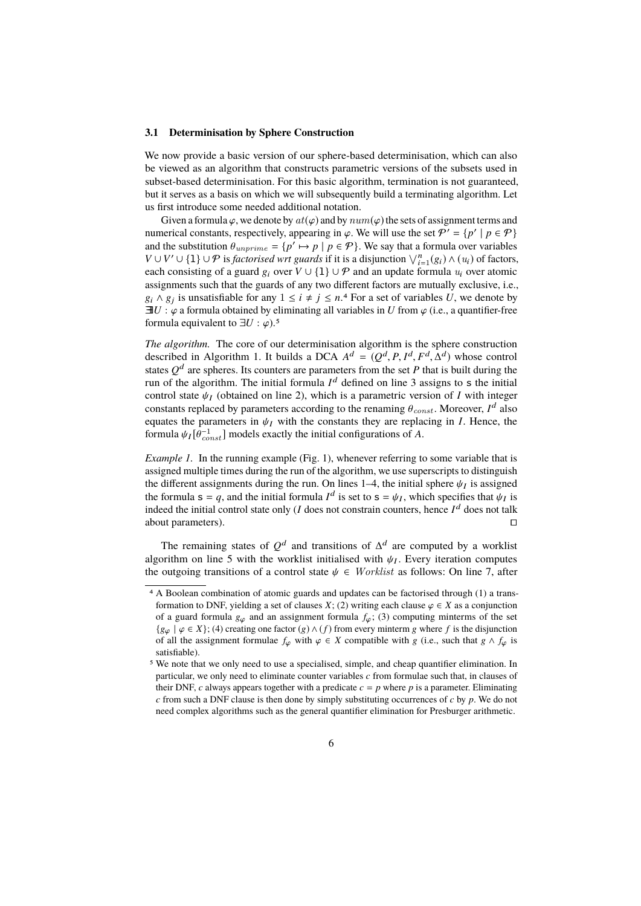#### **3.1 Determinisation by Sphere Construction**

We now provide a basic version of our sphere-based determinisation, which can also be viewed as an algorithm that constructs parametric versions of the subsets used in subset-based determinisation. For this basic algorithm, termination is not guaranteed, but it serves as a basis on which we will subsequently build a terminating algorithm. Let us first introduce some needed additional notation.

Given a formula  $\varphi$ , we denote by  $at(\varphi)$  and by  $num(\varphi)$  the sets of assignment terms and numerical constants, respectively, appearing in  $\varphi$ . We will use the set  $\mathcal{P}' = \{p' \mid p \in \mathcal{P}\}\$ and the substitution  $\theta_{unprime} = \{p' \mapsto p \mid p \in \mathcal{P}\}\)$ . We say that a formula over variables  $V \cup V' \cup \{1\} \cup \mathcal{P}$  is *factorised wet quards* if it is a disjunction  $\setminus \setminus^n$  (*a*)  $\land$  (*a*) of factors *V* ∪ *V'* ∪ {1} ∪ *P* is *factorised wrt guards* if it is a disjunction  $\bigvee_{i=1}^{n} (g_i) \wedge (u_i)$  of factors, each consisting of a guard  $g_i$  over  $V \cup \{1\} \cup P$  and an update formula  $u_i$  over atomic assignments such that the guards of any two different factors are mutually exclusive, i.e.,  $g_i \wedge g_j$  is unsatisfiable for any  $1 \le i \ne j \le n$ .<sup>4</sup> For a set of variables *U*, we denote by  $\exists U : \varphi$  a formula obtained by eliminating all variables in U from  $\varphi$  (i.e., a quantifier-free formula equivalent to  $\exists U : \varphi$ ).<sup>5</sup>

*The algorithm.* The core of our determinisation algorithm is the sphere construction described in Algorithm 1. It builds a DCA  $A^d = (Q^d, P, I^d, F^d, \Delta^d)$  whose control<br>states  $Q^d$  are spheres. Its counters are parameters from the set *P* that is built during the states  $Q^d$  are spheres. Its counters are parameters from the set *P* that is built during the run of the algorithm. The initial formula  $I^d$  defined on line 3 assigns to s the initial control state  $\psi_I$  (obtained on line 2), which is a parametric version of *I* with integer constants replaced by parameters according to the renaming  $\theta_{const}$ . Moreover,  $I^d$  also equates the parameters in  $\mathcal{U}_L$  with the constants they are replacing in  $I$ . Hence, the equates the parameters in  $\psi_I$  with the constants they are replacing in *I*. Hence, the formula  $\psi_I[\theta_{const}^{-1}]$  models exactly the initial configurations of *A*.

*Example 1.* In the running example (Fig. 1), whenever referring to some variable that is assigned multiple times during the run of the algorithm, we use superscripts to distinguish the different assignments during the run. On lines 1–4, the initial sphere  $\psi_I$  is assigned<br>the formula  $\mathbf{s} = a$  and the initial formula  $I^d$  is set to  $\mathbf{s} = \psi_I$ , which specifies that  $\psi_I$  is the formula  $s = q$ , and the initial formula  $I^d$  is set to  $s = \psi_I$ , which specifies that  $\psi_I$  is indeed the initial control state only (*I* does not constrain counters hence  $I^d$  does not talk indeed the initial control state only ( $I$  does not constrain counters, hence  $I^d$  does not talk about parameters).

The remaining states of  $Q<sup>d</sup>$  and transitions of  $\Delta<sup>d</sup>$  are computed by a worklist algorithm on line 5 with the worklist initialised with  $\psi_I$ . Every iteration computes<br>the outgoing transitions of a control state  $\psi \in Worklist$  as follows: On line 7, after the outgoing transitions of a control state  $\psi \in Worklist$  as follows: On line 7, after

<sup>4</sup> A Boolean combination of atomic guards and updates can be factorised through (1) a transformation to DNF, yielding a set of clauses *X*; (2) writing each clause  $\varphi \in X$  as a conjunction of a guard formula  $g_{\varphi}$  and an assignment formula  $f_{\varphi}$ ; (3) computing minterms of the set  ${g_{\varphi} \mid \varphi \in X}$ ; (4) creating one factor  $(g) \wedge (f)$  from every minterm g where f is the disjunction of all the assignment formulae  $f_{\varphi}$  with  $\varphi \in X$  compatible with g (i.e., such that  $g \wedge f_{\varphi}$  is satisfiable).

<sup>&</sup>lt;sup>5</sup> We note that we only need to use a specialised, simple, and cheap quantifier elimination. In particular, we only need to eliminate counter variables *c* from formulae such that, in clauses of their DNF,  $c$  always appears together with a predicate  $c = p$  where  $p$  is a parameter. Eliminating *c* from such a DNF clause is then done by simply substituting occurrences of *c* by *p*. We do not need complex algorithms such as the general quantifier elimination for Presburger arithmetic.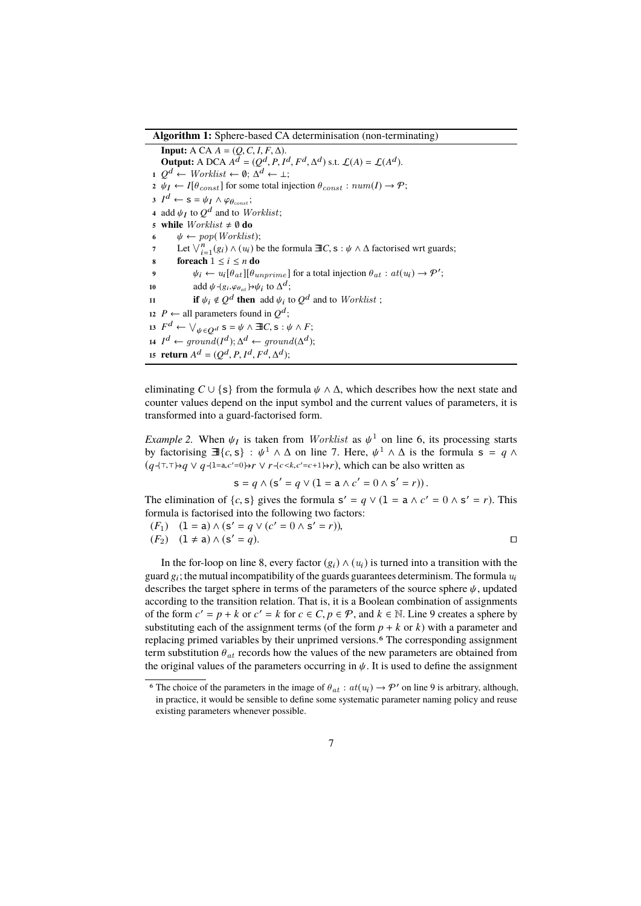#### **Algorithm 1:** Sphere-based CA determinisation (non-terminating)

**Input:** A CA *A* = (*Q, C, I, F,*  $\Delta$ ).<br> **Output:** A DCA  $A^d = (Q^d, P, I^d, F^d, \Delta^d)$  s.t.  $\mathcal{L}(A) = \mathcal{L}(A^d)$ .<br>  $Q^d \leftarrow \text{Worklist } \leftarrow 0 \cdot \Delta^d \leftarrow 1$ :  $Q^d$  ← Worklist ←  $\emptyset$ ;  $\Delta^d$  ← ⊥;  $\psi_I \leftarrow I[\theta_{const}]$  for some total injection  $\theta_{const} : num(I) \rightarrow \mathcal{P}$ ;  $I^d \leftarrow$  **s** =  $\psi_I \wedge \varphi_{\theta_{const}}$ ; add  $\psi_I$  to  $Q^d$  and to *Worklist*;<br>**5** while *Worklist*  $\neq$  0 do. **while**  $Worklist \neq \emptyset$  **do**   $\psi \leftarrow pop(Worklist);$ <br>**7** Let  $\setminus \begin{matrix} n \\ n \end{matrix}$ ,  $(e_i) \wedge (u_i)$  b Let  $\bigvee_{i=1}^{n} (g_i) \land (u_i)$  be the formula  $\exists I\mathcal{C}, s : \psi \land \Delta$  factorised wrt guards;<br>formula  $\exists f \in \mathcal{C}$  and  $\Box$  **foreach**  $1 \le i \le n$  **do**   $\psi_i \leftarrow u_i[\theta_{at}][\theta_{unprime}]$  for a total injection  $\theta_{at} : at(u_i) \rightarrow \mathcal{P}'$ ; add  $\psi$   $\{g_i, \varphi_{\theta_{at}}\}$   $\psi_i$  to  $\Delta^d$ ; **if**  $\psi_i \notin Q^d$  **then** add  $\psi_i$  **12** *P* ← all parameters found in  $Q^d$ ; d **then** add  $\psi_i$  to  $Q^d$  and to *Worklist* ;  $F^d \leftarrow \bigvee_{\psi \in Q^d} s = \psi \wedge \exists \exists C, s : \psi \wedge F;$ <br>11 *d*  $\downarrow$  answer d(*I*d), Ad  $\downarrow$  answer d(*Ad*)  $I^d$  ← ground( $I^d$ );  $\Delta^d$  ← ground( $\Delta^d$ ); **return**  $A^d = (Q^d, P, I^d, F^d, \Delta^d);$ 

eliminating  $C \cup \{s\}$  from the formula  $\psi \wedge \Delta$ , which describes how the next state and counter values depend on the input symbol and the current values of parameters, it is transformed into a guard-factorised form.

*Example 2.* When  $\psi_I$  is taken from *Worklist* as  $\psi^1$  on line 6, its processing starts by factorising  $\exists \psi \in \mathbb{R} \setminus \psi^1 \land \Delta$  on line 7. Here  $\psi^1 \land \Delta$  is the formula  $\mathbf{s} = a \land \mathbf{a}$ by factorising  $\exists \{c, s\} : \psi^1 \wedge \Delta$  on line 7. Here,  $\psi^1 \wedge \Delta$  is the formula  $s = q \wedge$ <br> $(g \exists \tau \exists s \wedge g \exists \exists s \wedge g \exists s \wedge g \forall r \exists c \wedge k \wedge g \exists s \wedge g \exists s \wedge g \exists s \wedge g \forall r \exists c \wedge k \wedge g \exists s \wedge g \exists s \wedge g \forall s \wedge g \exists s \wedge g \forall s \wedge g \exists s \wedge g \forall s \wedge g \exists s \$  $(q+\tau,\tau)$ → $q \vee q$  +(1=a,c'=0)→ $r \vee r$  +(c<k,c'=c+1)→ $r$ ), which can be also written as

$$
\mathbf{s} = q \wedge (\mathbf{s}' = q \vee (1 = \mathbf{a} \wedge c' = 0 \wedge \mathbf{s}' = r)).
$$

The elimination of  $\{c, s\}$  gives the formula  $s' = q \vee (1 = a \wedge c' = 0 \wedge s' = r)$ . This formula is factorised into the following two factors: formula is factorised into the following two factors:

 $(F_1)$   $(1 = a) \wedge (s' = q \vee (c' = 0 \wedge s' = r)),$ <br> $(F_2)$   $(1 \neq a) \wedge (s' = q)$  $(F_2)$   $(1 \neq a) \wedge (s' = q).$  $\prime = q$ ).

In the for-loop on line 8, every factor  $(g_i) \wedge (u_i)$  is turned into a transition with the guard  $g_i$ ; the mutual incompatibility of the guards guarantees determinism. The formula  $u_i$ describes the target sphere in terms of the parameters of the source sphere  $\psi$ , updated according to the transition relation. That is, it is a Boolean combination of assignments of the form  $c' = p + k$  or  $c' = k$  for  $c \in C$ ,  $p \in \mathcal{P}$ , and  $k \in \mathbb{N}$ . Line 9 creates a sphere by substituting each of the assignment terms (of the form  $p + k$  or  $k$ ) with a parameter and substituting each of the assignment terms (of the form  $p + k$  or  $k$ ) with a parameter and replacing primed variables by their unprimed versions.6 The corresponding assignment term substitution  $\theta_{at}$  records how the values of the new parameters are obtained from the original values of the parameters occurring in  $\psi$ . It is used to define the assignment

<sup>&</sup>lt;sup>6</sup> The choice of the parameters in the image of  $\theta_{at}$ :  $at(u_i) \rightarrow \mathcal{P}'$  on line 9 is arbitrary, although, in practice, it would be sensible to define some systematic parameter paraing policy and reuse in practice, it would be sensible to define some systematic parameter naming policy and reuse existing parameters whenever possible.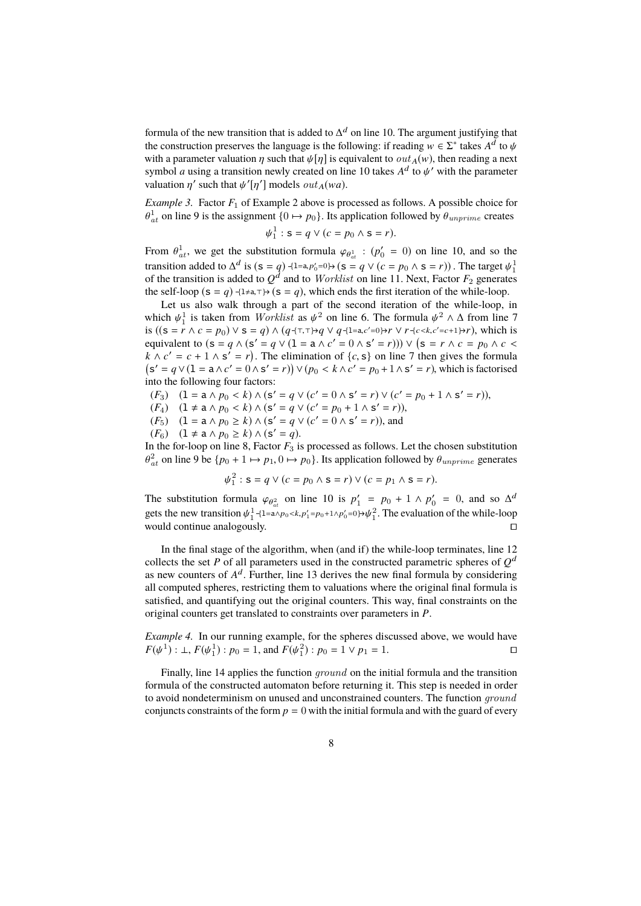formula of the new transition that is added to  $\Delta^d$  on line 10. The argument justifying that the construction preserves the language is the following: if reading  $w \in \Sigma^*$  takes  $A^d$  to  $\psi$ <br>with a parameter valuation *n* such that  $\psi[n]$  is equivalent to *out*  $\psi$  then reading a next with a parameter valuation  $\eta$  such that  $\psi[\eta]$  is equivalent to  $out_A(w)$ , then reading a next symbol *a* using a transition newly created on line 10 takes  $A^d$  to  $\psi'$  with the parameter valuation  $n'$  such that  $\psi'[n']$  models  $\phi \psi^d$ . valuation  $\eta'$  such that  $\psi'[\eta']$  models *out*<sub>A</sub>(*wa*).

*Example 3.* Factor  $F_1$  of Example 2 above is processed as follows. A possible choice for  $\frac{1}{at}$  on line 9 is the assignment  $\{0 \mapsto p_0\}$ . Its application followed by  $\theta_{unprime}$  creates

$$
\psi_1^1: \mathbf{s} = q \vee (c = p_0 \wedge \mathbf{s} = r).
$$

From  $\theta_{at}^1$ , we get the substitution formula  $\varphi_{\theta_{at}^1}$  :  $(p'_0 = 0)$  on line 10, and so the transition added to  $\Delta^d$  is (s = *q*) -{l=a,p'<sub>0</sub>=0}> (s = *q* ∨ (c = *p*<sub>0</sub> ∧ s = *r*)). The target  $\psi_1^1$ <br>of the transition is added to  $O^d$  and to *Worklist* on line 11. Next, Eactor E<sub>2</sub> generates of the transition is added to  $Q^d$  and to *Worklist* on line 11. Next, Factor  $F_2$  generates the self-loop ( $s = q$ )  $\exists z \in \mathbb{Z}$  +  $\exists z \in \mathbb{Z}$ , which ends the first iteration of the while-loop.

Let us also walk through a part of the second iteration of the while-loop, in which  $\psi_1^1$  is taken from *Worklist* as  $\psi^2$  on line 6. The formula  $\psi^2 \wedge \Delta$  from line 7<br>is  $((s - r \wedge c - p_0) \vee s - q) \wedge (q \Delta T T) \wedge q \vee q \Delta T = q^2 \wedge (q \Delta T) \wedge r \Delta c \wedge r^2 \Delta T$  which is is ((<sup>s</sup> <sup>=</sup> *<sup>r</sup>* <sup>∧</sup> *<sup>c</sup>* <sup>=</sup> *<sup>p</sup>*0) ∨ <sup>s</sup> <sup>=</sup> *<sup>q</sup>*) <sup>∧</sup> (*q*−{>,>}→*<sup>q</sup>* <sup>∨</sup> *<sup>q</sup>*−{l=a,<sup>c</sup> <sup>0</sup>=0→} *<sup>r</sup>* <sup>∨</sup> *<sup>r</sup>*−{c<k,<sup>c</sup> <sup>0</sup>=c+1→} *r*), which is equivalent to  $(s = q \land (s' = q \lor (1 = a \land c' = 0 \land s' = r))) \lor (s = r \land c = p_0 \land c < k \land c' = c + 1 \land s' = r)$ . The elimination of  $(c, s)$  on line 7 then gives the formula  $k \wedge c' = c + 1 \wedge s' = r$ ). The elimination of {*c*, s} on line 7 then gives the formula<br>  $(s' = a \vee (1 - a \wedge c' = 0 \wedge s' = r)) \vee (n \wedge s' = n \wedge s' = n \vee s' = r)$  which is factorised  $(s' = q \lor (1 = a \land c' = 0 \land s' = r)) \lor (p_0 < k \land c' = p_0 + 1 \land s' = r)$ , which is factorised into the following four factors:

- $(F_3)$   $(1 = a \land p_0 < k) \land (s' = q \lor (c' = 0 \land s' = r) \lor (c' = p_0 + 1 \land s' = r)),$ <br>  $(F_4)$   $(1 \neq a \land p_0 < k) \land (s' = q \lor (c' = p_0 + 1 \land s' = r)).$
- $(F_4)$  (1 ≠ **a** ∧ *p*<sub>0</sub> < *k*) ∧ (**s**<sup>*'*</sup> = *q* ∨ (*c'* = *p*<sub>0</sub> + 1 ∧ **s**<sup>*'*</sup> = *r*)),<br>(*F*<sub>2</sub>) (1 − **a** ∧ *n*<sub>0</sub> > *k*) ∧ (**s**<sup>*'*</sup> − *a*) (*c'* − 0 ∧ **s**<sup>*'*</sup> − *r*)) and
- (*F*<sub>5</sub>) (1 = a ∧ *p*<sub>0</sub> ≥ *k*) ∧ (s' = *q* ∨ (*c*' = 0 ∧ s' = *r*)), and
- (*F*<sub>6</sub>) (1 ≠ **a** ∧ *p*<sub>0</sub> ≥ *k*) ∧ (**s**<sup> $′$ </sup> = *q*).

In the for-loop on line 8, Factor *F*<sup>3</sup> is processed as follows. Let the chosen substitution  $_{at}^2$  on line 9 be  $\{p_0 + 1 \mapsto p_1, 0 \mapsto p_0\}$ . Its application followed by  $\theta_{unprime}$  generates

$$
\psi_1^2: \mathbf{s} = q \vee (c = p_0 \wedge \mathbf{s} = r) \vee (c = p_1 \wedge \mathbf{s} = r).
$$

The substitution formula  $\varphi_{\theta_{\alpha}}^2$  on line 10 is  $p'_1 = p_0 + 1 \wedge p'_0 = 0$ , and so  $\Delta^d$ <br>cata the new transition  $\psi_1^1$  (legate  $\chi_2^1$  or the  $\chi_2^2$  of the supplying of the while leap gets the new transition  $\psi_1^1$ -{l=a^p<sub>0</sub><k,p'<sub>1</sub>=p<sub>0</sub>+1^p'<sub>0</sub>=0}> $\psi_1^2$ . The evaluation of the while-loop<br>would continue analogously would continue analogously.  $\Box$ 

In the final stage of the algorithm, when (and if) the while-loop terminates, line 12 collects the set *P* of all parameters used in the constructed parametric spheres of  $Q^d$ as new counters of  $A<sup>d</sup>$ . Further, line 13 derives the new final formula by considering all computed spheres, restricting them to valuations where the original final formula is satisfied, and quantifying out the original counters. This way, final constraints on the original counters get translated to constraints over parameters in *P*.

*Example 4.* In our running example, for the spheres discussed above, we would have  $F(\psi^1)$ : *⊥*,  $F(\psi_1^1)$ : *p*<sub>0</sub> = 1, and  $F(\psi_1^2)$ : *p*<sub>0</sub> = 1 ∨ *p*<sub>1</sub> = 1.

Finally, line 14 applies the function *ground* on the initial formula and the transition formula of the constructed automaton before returning it. This step is needed in order to avoid nondeterminism on unused and unconstrained counters. The function ground conjuncts constraints of the form  $p = 0$  with the initial formula and with the guard of every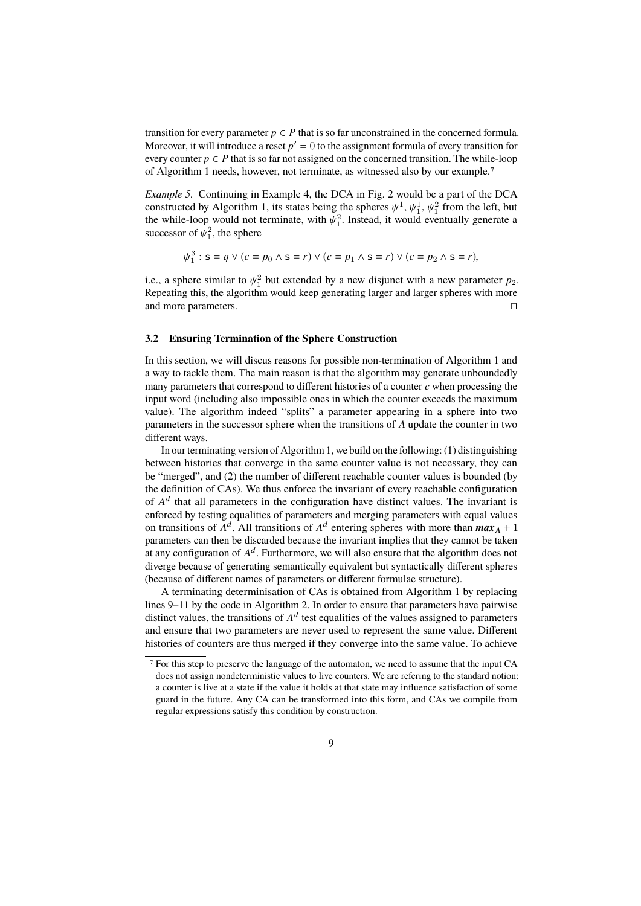transition for every parameter  $p \in P$  that is so far unconstrained in the concerned formula. Moreover, it will introduce a reset  $p' = 0$  to the assignment formula of every transition for every counter  $p \in P$  that is so far not assigned on the concerned transition. The while-loop of Algorithm 1 needs, however, not terminate, as witnessed also by our example.7

*Example 5.* Continuing in Example 4, the DCA in Fig. 2 would be a part of the DCA constructed by Algorithm 1, its states being the spheres  $\psi^1$ ,  $\psi_1^1$ ,  $\psi_1^2$  from the left, but the while-loop would not terminate, with  $\psi^2$ . Instead, it would eventually generate a the while-loop would not terminate, with  $\psi_1^2$ . Instead, it would eventually generate a successor of  $\psi_1^2$  the sphere successor of  $\psi_1^2$ , the sphere

$$
\psi_1^3 : \mathbf{s} = q \lor (c = p_0 \land \mathbf{s} = r) \lor (c = p_1 \land \mathbf{s} = r) \lor (c = p_2 \land \mathbf{s} = r),
$$

i.e., a sphere similar to  $\psi_1^2$  but extended by a new disjunct with a new parameter  $p_2$ .<br>Repeating this, the algorithm would keep generating larger and larger spheres with more Repeating this, the algorithm would keep generating larger and larger spheres with more and more parameters.

#### **3.2 Ensuring Termination of the Sphere Construction**

In this section, we will discus reasons for possible non-termination of Algorithm 1 and a way to tackle them. The main reason is that the algorithm may generate unboundedly many parameters that correspond to different histories of a counter *c* when processing the input word (including also impossible ones in which the counter exceeds the maximum value). The algorithm indeed "splits" a parameter appearing in a sphere into two parameters in the successor sphere when the transitions of *A* update the counter in two different ways.

In our terminating version of Algorithm 1, we build on the following: (1) distinguishing between histories that converge in the same counter value is not necessary, they can be "merged", and (2) the number of different reachable counter values is bounded (by the definition of CAs). We thus enforce the invariant of every reachable configuration of  $A<sup>d</sup>$  that all parameters in the configuration have distinct values. The invariant is enforced by testing equalities of parameters and merging parameters with equal values on transitions of  $A^d$ . All transitions of  $A^d$  entering spheres with more than  $max_A + 1$ parameters can then be discarded because the invariant implies that they cannot be taken at any configuration of  $A^d$ . Furthermore, we will also ensure that the algorithm does not diverge because of generating semantically equivalent but syntactically different spheres (because of different names of parameters or different formulae structure).

A terminating determinisation of CAs is obtained from Algorithm 1 by replacing lines 9–11 by the code in Algorithm 2. In order to ensure that parameters have pairwise distinct values, the transitions of  $A<sup>d</sup>$  test equalities of the values assigned to parameters and ensure that two parameters are never used to represent the same value. Different histories of counters are thus merged if they converge into the same value. To achieve

<sup>7</sup> For this step to preserve the language of the automaton, we need to assume that the input CA does not assign nondeterministic values to live counters. We are refering to the standard notion: a counter is live at a state if the value it holds at that state may influence satisfaction of some guard in the future. Any CA can be transformed into this form, and CAs we compile from regular expressions satisfy this condition by construction.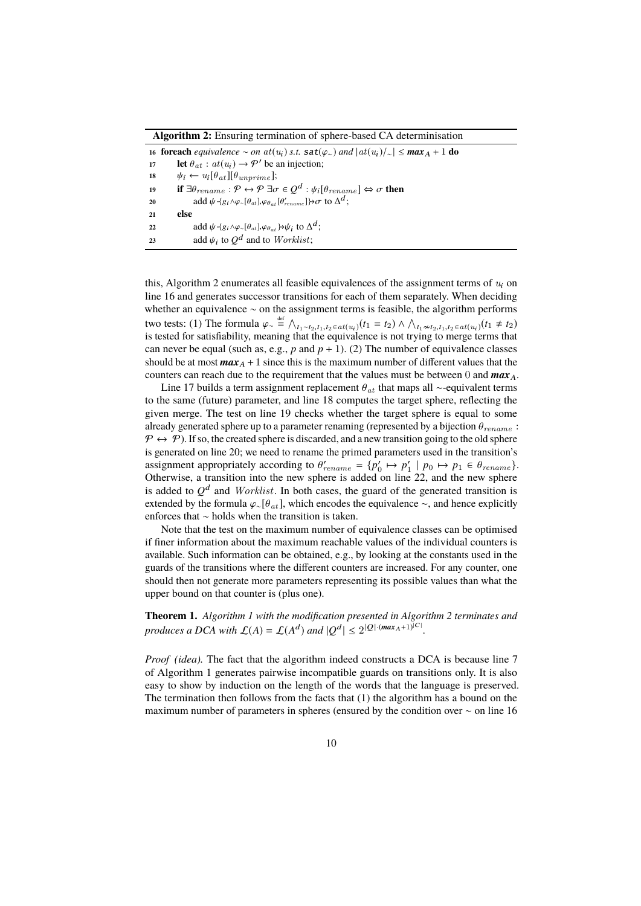**Algorithm 2:** Ensuring termination of sphere-based CA determinisation

 **foreach** *equivalence* ∼ *on*  $at(u_i)$  *s.t.*  $\text{sat}(\varphi_\sim)$  *and*  $|at(u_i)/\sim| \leq \max_A + 1$  **do**<br>**17 let**  $\theta \leftrightarrow at(u_i) \rightarrow \mathcal{P}'$  be an injection: **let**  $\theta_{at}$ :  $at(u_i) \rightarrow \mathcal{P}'$  be an injection;  $\psi_i \leftarrow u_i[\theta_{at}][\theta_{unprime}];$ <br> **18 if**  $\Box \theta$  **if**  $\Box \theta$  **if**  $\exists \theta_{rename} : \mathcal{P} \leftrightarrow \mathcal{P} \exists \sigma \in \mathcal{Q}^d : \psi_i[\theta_{rename}] \Leftrightarrow \sigma$  **then**<br>20<br>**20 if**  $\exists \theta_{rename} : \theta \leftrightarrow \theta \exists \sigma \in \mathcal{Q}^d : \psi_i[\theta_{rename}] \Leftrightarrow \sigma$  **then** 20 add  $\psi$  -{g<sub>i</sub>  $\wedge \varphi$ <sub>∼</sub>[ $\theta_{at}$ ], $\varphi_{\theta_{at}}$ [ $\theta'_{rename}$ ]  $\rightarrow \sigma$  to  $\Delta^d$ ; **<sup>21</sup> else** 22 add  $\psi$  -{g<sub>i</sub>  $\wedge \varphi$ <sub>∼</sub>[ $\theta_{at}$ ], $\varphi_{\theta_{at}}$   $\rightarrow \psi_i$  to  $\Delta^d$ ; add  $\psi_i$  to  $Q^d$  and to *Worklist*;

this, Algorithm 2 enumerates all feasible equivalences of the assignment terms of  $u_i$  on line 16 and generates successor transitions for each of them separately. When deciding whether an equivalence ∼ on the assignment terms is feasible, the algorithm performs two tests: (1) The formula  $\varphi_{\alpha} \stackrel{\text{def}}{=} \bigwedge_{t_1 \sim t_2, t_1, t_2 \in \text{at}(u_i)} (t_1 = t_2) \wedge \bigwedge_{t_1 \sim t_2, t_1, t_2 \in \text{at}(u_i)} (t_1 \neq t_2)$ <br>is tested for satisfiability meaning that the equivalence is not trying to merge terms th is tested for satisfiability, meaning that the equivalence is not trying to merge terms that can never be equal (such as, e.g., *p* and  $p + 1$ ). (2) The number of equivalence classes should be at most  $max_A + 1$  since this is the maximum number of different values that the counters can reach due to the requirement that the values must be between  $0$  and  $max_A$ .

Line 17 builds a term assignment replacement  $\theta_{at}$  that maps all ∼-equivalent terms to the same (future) parameter, and line 18 computes the target sphere, reflecting the given merge. The test on line 19 checks whether the target sphere is equal to some already generated sphere up to a parameter renaming (represented by a bijection  $\theta_{rename}$ :  $\mathcal{P} \leftrightarrow \mathcal{P}$ ). If so, the created sphere is discarded, and a new transition going to the old sphere is generated on line 20; we need to rename the primed parameters used in the transition's assignment appropriately according to  $\theta'_{rename} = \{p'_0 \mapsto p'_1 \mid p_0 \mapsto p_1 \in \theta_{rename}\}.$ <br>Otherwise a transition into the new sphere is added on line 22, and the new sphere Otherwise, a transition into the new sphere is added on line 22, and the new sphere is added to  $Q<sup>d</sup>$  and *Worklist*. In both cases, the guard of the generated transition is extended by the formula  $\varphi$ <sub>∼</sub>[ $\theta$ <sub>at</sub>], which encodes the equivalence ∼, and hence explicitly enforces that ∼ holds when the transition is taken.

Note that the test on the maximum number of equivalence classes can be optimised if finer information about the maximum reachable values of the individual counters is available. Such information can be obtained, e.g., by looking at the constants used in the guards of the transitions where the different counters are increased. For any counter, one should then not generate more parameters representing its possible values than what the upper bound on that counter is (plus one).

**Theorem 1.** *Algorithm 1 with the modification presented in Algorithm 2 terminates and produces a DCA with*  $\mathcal{L}(A) = \mathcal{L}(A^d)$  *and*  $|Q^d| \leq 2^{|Q| \cdot (\max_A + 1)^{|C|}}$ *.* 

*Proof (idea).* The fact that the algorithm indeed constructs a DCA is because line 7 of Algorithm 1 generates pairwise incompatible guards on transitions only. It is also easy to show by induction on the length of the words that the language is preserved. The termination then follows from the facts that (1) the algorithm has a bound on the maximum number of parameters in spheres (ensured by the condition over ∼ on line 16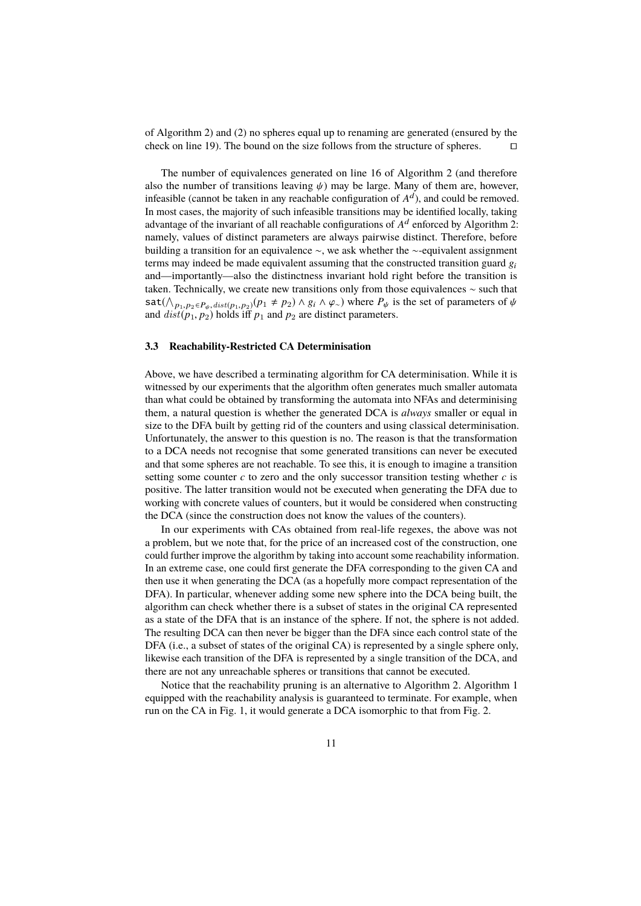of Algorithm 2) and (2) no spheres equal up to renaming are generated (ensured by the check on line 19). The bound on the size follows from the structure of spheres.  $\Box$ 

The number of equivalences generated on line 16 of Algorithm 2 (and therefore also the number of transitions leaving  $\psi$ ) may be large. Many of them are, however, infeasible (cannot be taken in any reachable configuration of  $A<sup>d</sup>$ ), and could be removed. In most cases, the majority of such infeasible transitions may be identified locally, taking advantage of the invariant of all reachable configurations of  $A^d$  enforced by Algorithm 2: namely, values of distinct parameters are always pairwise distinct. Therefore, before building a transition for an equivalence ∼, we ask whether the ∼-equivalent assignment terms may indeed be made equivalent assuming that the constructed transition guard  $g_i$ and—importantly—also the distinctness invariant hold right before the transition is taken. Technically, we create new transitions only from those equivalences ∼ such that  $\text{sat}(\bigwedge_{p_1, p_2 \in P_{\psi}, \text{dist}(p_1, p_2)} (p_1 \neq p_2) \wedge g_i \wedge \varphi_{\sim} )$  where  $P_{\psi}$  is the set of parameters of  $\psi$ <br>and dist(p, p<sub>2</sub>) holds iff p, and p, are distinct parameters and  $dist(p_1, p_2)$  holds iff  $p_1$  and  $p_2$  are distinct parameters.

#### **3.3 Reachability-Restricted CA Determinisation**

Above, we have described a terminating algorithm for CA determinisation. While it is witnessed by our experiments that the algorithm often generates much smaller automata than what could be obtained by transforming the automata into NFAs and determinising them, a natural question is whether the generated DCA is *always* smaller or equal in size to the DFA built by getting rid of the counters and using classical determinisation. Unfortunately, the answer to this question is no. The reason is that the transformation to a DCA needs not recognise that some generated transitions can never be executed and that some spheres are not reachable. To see this, it is enough to imagine a transition setting some counter *c* to zero and the only successor transition testing whether *c* is positive. The latter transition would not be executed when generating the DFA due to working with concrete values of counters, but it would be considered when constructing the DCA (since the construction does not know the values of the counters).

In our experiments with CAs obtained from real-life regexes, the above was not a problem, but we note that, for the price of an increased cost of the construction, one could further improve the algorithm by taking into account some reachability information. In an extreme case, one could first generate the DFA corresponding to the given CA and then use it when generating the DCA (as a hopefully more compact representation of the DFA). In particular, whenever adding some new sphere into the DCA being built, the algorithm can check whether there is a subset of states in the original CA represented as a state of the DFA that is an instance of the sphere. If not, the sphere is not added. The resulting DCA can then never be bigger than the DFA since each control state of the DFA (i.e., a subset of states of the original CA) is represented by a single sphere only, likewise each transition of the DFA is represented by a single transition of the DCA, and there are not any unreachable spheres or transitions that cannot be executed.

Notice that the reachability pruning is an alternative to Algorithm 2. Algorithm 1 equipped with the reachability analysis is guaranteed to terminate. For example, when run on the CA in Fig. 1, it would generate a DCA isomorphic to that from Fig. 2.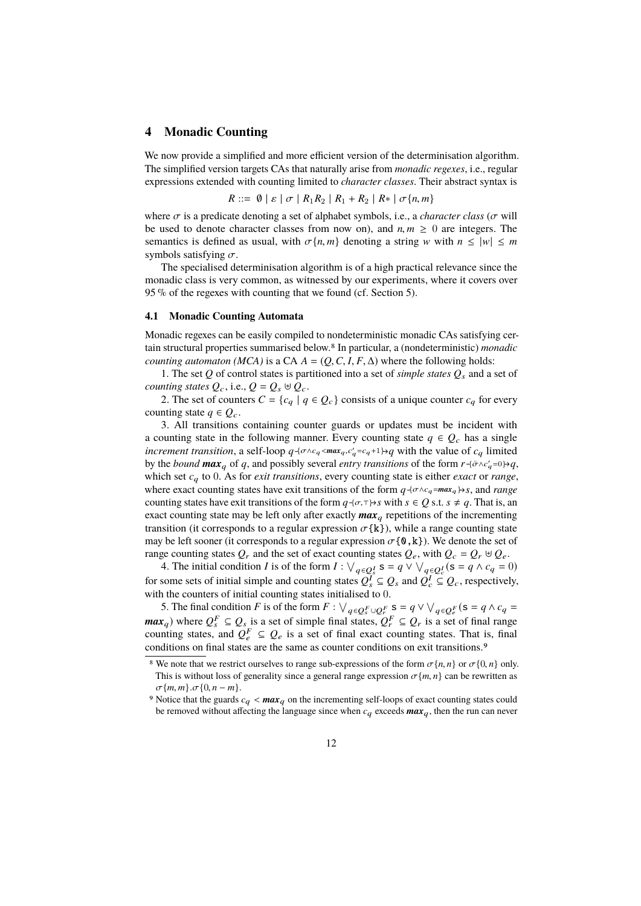#### **4 Monadic Counting**

We now provide a simplified and more efficient version of the determinisation algorithm. The simplified version targets CAs that naturally arise from *monadic regexes*, i.e., regular expressions extended with counting limited to *character classes*. Their abstract syntax is

$$
R ::= \emptyset \mid \varepsilon \mid \sigma \mid R_1 R_2 \mid R_1 + R_2 \mid R_* \mid \sigma \{n, m\}
$$

where  $\sigma$  is a predicate denoting a set of alphabet symbols, i.e., a *character class* ( $\sigma$  will be used to denote character classes from now on), and  $n \leq \theta$  are integers. The be used to denote character classes from now on), and  $n, m \geq 0$  are integers. The semantics is defined as usual, with  $\sigma\{n, m\}$  denoting a string w with  $n \leq |w| \leq m$ symbols satisfying  $\sigma$ .

The specialised determinisation algorithm is of a high practical relevance since the monadic class is very common, as witnessed by our experiments, where it covers over 95 % of the regexes with counting that we found (cf. Section 5).

#### **4.1 Monadic Counting Automata**

Monadic regexes can be easily compiled to nondeterministic monadic CAs satisfying certain structural properties summarised below.8 In particular, a (nondeterministic) *monadic counting automaton (MCA)* is a CA  $A = (Q, C, I, F, \Delta)$  where the following holds:

1. The set  $Q$  of control states is partitioned into a set of *simple states*  $Q_s$  and a set of *counting states*  $Q_c$ , i.e.,  $Q = Q_s \oplus Q_c$ .

2. The set of counters  $C = \{c_q \mid q \in Q_c\}$  consists of a unique counter  $c_q$  for every counting state  $q \in Q_c$ .

3. All transitions containing counter guards or updates must be incident with a counting state in the following manner. Every counting state  $q \in Q_c$  has a single *increment transition*, a self-loop  $q \text{–} (\sigma \wedge c_q \text{–} \max_q, c_q' = c_q + 1) \rightarrow q$  with the value of  $c_q$  limited by the *bound*  $\max_q$  of *q*, and possibly several *entry transitions* of the form  $r \cdot (\bar{\sigma} \wedge c'_q = 0) \rightarrow q$ , which set *c*<sup>q</sup> to 0. As for *exit transitions*, every counting state is either *exact* or *range*, where exact counting states have exit transitions of the form *<sup>q</sup>*−{σ∧cq=*max*q→} *<sup>s</sup>*, and *range* counting states have exit transitions of the form  $q$ −{ $\sigma$ , $\tau$ }→*s* with  $s \in Q$  s.t.  $s \neq q$ . That is, an exact counting state may be left only after exactly  $max<sub>a</sub>$  repetitions of the incrementing transition (it corresponds to a regular expression  $\sigma\{k\}$ ), while a range counting state may be left sooner (it corresponds to a regular expression  $\sigma\{\mathbf{0}, \mathbf{k}\}\)$ ). We denote the set of range counting states  $Q_r$  and the set of exact counting states  $Q_e$ , with  $Q_c = Q_r \oplus Q_e$ .

4. The initial condition *I* is of the form  $I: \bigvee_{q \in Q_s^I} s = q \vee \bigvee_{q \in Q_c^I} (s = q \wedge c_q = 0)$ for some sets of initial simple and counting states  $Q_s^I \subseteq Q_s$  and  $Q_c^I \subseteq Q_c$ , respectively, with the counters of initial counting states initialised to 0.

5. The final condition *F* is of the form  $F: \bigvee_{q \in Q_s^F \cup Q_r^F} s = q \vee \bigvee_{q \in Q_e^F} (s = q \wedge c_q = q)$  $max_q$ ) where  $Q_s^F \subseteq Q_s$  is a set of simple final states,  $Q_r^F \subseteq Q_r$  is a set of final range counting states, and  $Q_e^F \subseteq Q_e$  is a set of final exact counting states. That is, final conditions on final states are the same as counter conditions on exit transitions.9

<sup>&</sup>lt;sup>8</sup> We note that we restrict ourselves to range sub-expressions of the form  $\sigma\{n, n\}$  or  $\sigma\{0, n\}$  only. This is without loss of generality since a general range expression  $\sigma\{m, n\}$  can be rewritten as  $\sigma\{m, m\}.\sigma\{0, n - m\}.$ 

<sup>&</sup>lt;sup>9</sup> Notice that the guards  $c_q < max_q$  on the incrementing self-loops of exact counting states could be removed without affecting the language since when  $c_q$  exceeds  $max_q$ , then the run can never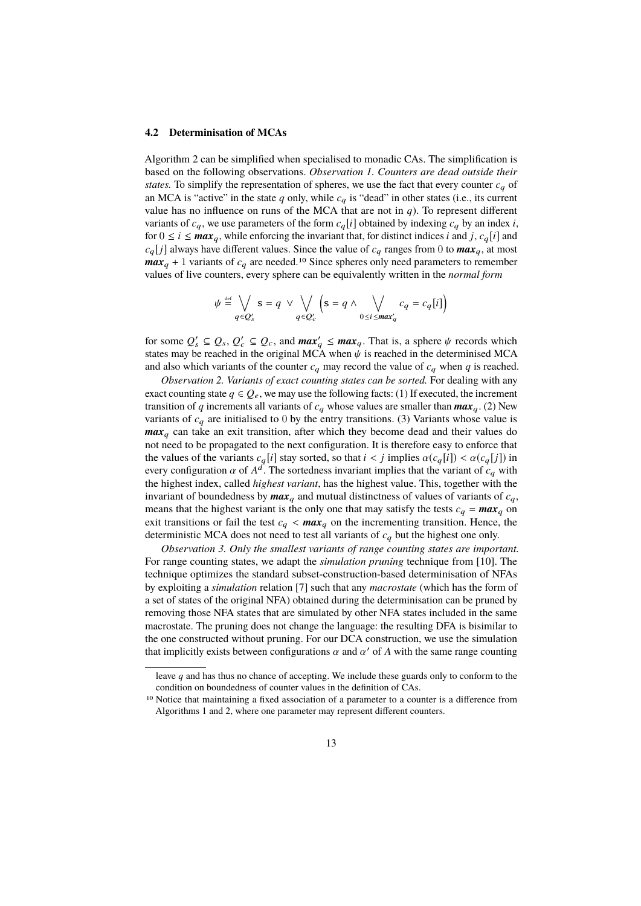#### **4.2 Determinisation of MCAs**

Algorithm 2 can be simplified when specialised to monadic CAs. The simplification is based on the following observations. *Observation 1. Counters are dead outside their states.* To simplify the representation of spheres, we use the fact that every counter  $c_q$  of an MCA is "active" in the state  $q$  only, while  $c_q$  is "dead" in other states (i.e., its current value has no influence on runs of the MCA that are not in  $q$ ). To represent different variants of  $c_q$ , we use parameters of the form  $c_q[i]$  obtained by indexing  $c_q$  by an index *i*, for  $0 \le i \le max_q$ , while enforcing the invariant that, for distinct indices *i* and *j*,  $c_q[i]$  and  $c_q[j]$  always have different values. Since the value of  $c_q$  ranges from 0 to *max<sub>q</sub>*, at most  $max<sub>q</sub> + 1$  variants of  $c<sub>q</sub>$  are needed.<sup>10</sup> Since spheres only need parameters to remember values of live counters, every sphere can be equivalently written in the *normal form*

$$
\psi \stackrel{\text{def}}{=} \bigvee_{q \in \mathcal{Q}'_s} s = q \ \vee \ \bigvee_{q \in \mathcal{Q}'_c} \left( s = q \ \wedge \ \bigvee_{0 \le i \le max'_q} c_q = c_q[i] \right)
$$

for some  $Q'_s \subseteq Q_s$ ,  $Q'_c \subseteq Q_c$ , and  $\max'_q \leq \max_q$ . That is, a sphere  $\psi$  records which extates may be reached in the original MCA when  $\psi$  is reached in the determinised MCA states may be reached in the original MCA when  $\psi$  is reached in the determinised MCA and also which variants of the counter  $c_q$  may record the value of  $c_q$  when  $q$  is reached.

*Observation 2. Variants of exact counting states can be sorted.* For dealing with any exact counting state  $q \in Q_e$ , we may use the following facts: (1) If executed, the increment transition of *q* increments all variants of  $c_q$  whose values are smaller than  $max_q$ . (2) New variants of  $c_q$  are initialised to 0 by the entry transitions. (3) Variants whose value is *max*<sup>q</sup> can take an exit transition, after which they become dead and their values do not need to be propagated to the next configuration. It is therefore easy to enforce that the values of the variants  $c_q[i]$  stay sorted, so that  $i < j$  implies  $\alpha(c_q[i]) < \alpha(c_q[j])$  in every configuration  $\alpha$  of  $A^d$ . The sortedness invariant implies that the variant of *c<sub>q</sub>* with the highest index called *highest variant*, has the highest value. This, together with the the highest index, called *highest variant*, has the highest value. This, together with the invariant of boundedness by  $max_q$  and mutual distinctness of values of variants of  $c_q$ , means that the highest variant is the only one that may satisfy the tests  $c_q = max_q$  on exit transitions or fail the test  $c_q < max_q$  on the incrementing transition. Hence, the deterministic MCA does not need to test all variants of *c*<sup>q</sup> but the highest one only.

*Observation 3. Only the smallest variants of range counting states are important.* For range counting states, we adapt the *simulation pruning* technique from [10]. The technique optimizes the standard subset-construction-based determinisation of NFAs by exploiting a *simulation* relation [7] such that any *macrostate* (which has the form of a set of states of the original NFA) obtained during the determinisation can be pruned by removing those NFA states that are simulated by other NFA states included in the same macrostate. The pruning does not change the language: the resulting DFA is bisimilar to the one constructed without pruning. For our DCA construction, we use the simulation that implicitly exists between configurations  $\alpha$  and  $\alpha'$  of  $A$  with the same range counting

leave *q* and has thus no chance of accepting. We include these guards only to conform to the condition on boundedness of counter values in the definition of CAs.

<sup>&</sup>lt;sup>10</sup> Notice that maintaining a fixed association of a parameter to a counter is a difference from Algorithms 1 and 2, where one parameter may represent different counters.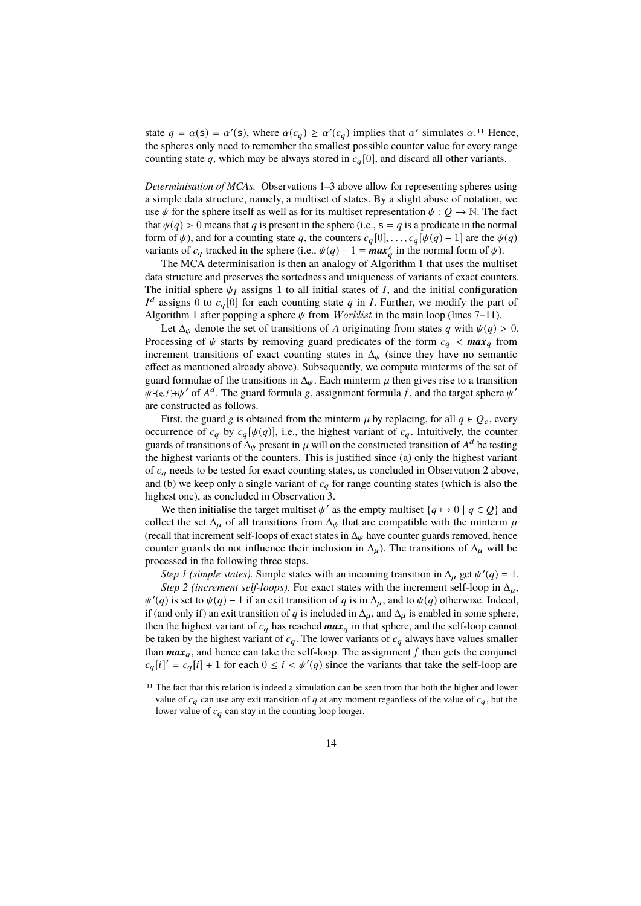state  $q = \alpha(s) = \alpha'(s)$ , where  $\alpha(c_q) \ge \alpha'(c_q)$  implies that  $\alpha'$  simulates  $\alpha$ .<sup>11</sup> Hence, the spheres only need to remember the smallest possible counter value for every range the spheres only need to remember the smallest possible counter value for every range counting state *q*, which may be always stored in  $c_q[0]$ , and discard all other variants.

*Determinisation of MCAs.* Observations 1–3 above allow for representing spheres using a simple data structure, namely, a multiset of states. By a slight abuse of notation, we use  $\psi$  for the sphere itself as well as for its multiset representation  $\psi : Q \to \mathbb{N}$ . The fact that  $\psi(q) > 0$  means that *q* is present in the sphere (i.e.,  $s = q$  is a predicate in the normal form of  $\psi$ ), and for a counting state q, the counters  $c_q[0], \ldots, c_q[\psi(q) - 1]$  are the  $\psi(q)$ variants of *c<sub>q</sub>* tracked in the sphere (i.e.,  $\psi(q) - 1 = \max_q'$  in the normal form of  $\psi$ ).<br>The MCA determinisation is then an analogy of Algorithm 1 that uses the multi

The MCA determinisation is then an analogy of Algorithm 1 that uses the multiset data structure and preserves the sortedness and uniqueness of variants of exact counters. The initial sphere  $\psi_I$  assigns 1 to all initial states of *I*, and the initial configuration  $I^d$  assigns 0 to  $c_q[0]$  for each counting state q in *I*. Further, we modify the part of Algorithm 1 after popping a sphere  $\psi$  from *Worklist* in the main loop (lines 7–11).

Let  $\Delta_{\psi}$  denote the set of transitions of *A* originating from states *q* with  $\psi(q) > 0$ . Processing of  $\psi$  starts by removing guard predicates of the form  $c_q < max_q$  from increment transitions of exact counting states in  $\Delta_{\psi}$  (since they have no semantic effect as mentioned already above). Subsequently, we compute minterms of the set of guard formulae of the transitions in  $\Delta_{\psi}$ . Each minterm  $\mu$  then gives rise to a transition  $\psi$  -{g,f \}  $\psi'$  of  $A^d$ . The guard formula g, assignment formula f, and the target sphere  $\psi'$ are constructed as follows.

First, the guard g is obtained from the minterm  $\mu$  by replacing, for all  $q \in Q_c$ , every occurrence of  $c_q$  by  $c_q[\psi(q)]$ , i.e., the highest variant of  $c_q$ . Intuitively, the counter guards of transitions of  $\Delta_{\psi}$  present in  $\mu$  will on the constructed transition of  $A^d$  be testing the highest variants of the counters. This is justified since (a) only the highest variant the highest variants of the counters. This is justified since (a) only the highest variant of *c*<sup>q</sup> needs to be tested for exact counting states, as concluded in Observation 2 above, and (b) we keep only a single variant of  $c_q$  for range counting states (which is also the highest one), as concluded in Observation 3.

We then initialise the target multiset  $\psi'$  as the empty multiset  $\{q \mapsto 0 \mid q \in Q\}$  and ect the set  $\Lambda$ , of all transitions from  $\Lambda$ , that are compatible with the minterm  $\mu$ collect the set  $\Delta_{\mu}$  of all transitions from  $\Delta_{\psi}$  that are compatible with the minterm  $\mu$ (recall that increment self-loops of exact states in  $\Delta_{\psi}$  have counter guards removed, hence counter guards do not influence their inclusion in  $\Delta_{\mu}$ ). The transitions of  $\Delta_{\mu}$  will be processed in the following three steps.

*Step 1 (simple states).* Simple states with an incoming transition in  $\Delta_{\mu}$  get  $\psi'(q) = 1$ .<br>Step 2 (increment self loops). For exact states with the increment self loop in  $\Delta$ .

*Step 2 (increment self-loops).* For exact states with the increment self-loop in  $\Delta_{\mu}$ , if (and only if) an exit transition of *q* is included in  $\Delta_{\mu}$ , and  $\Delta_{\mu}$  is enabled in some sphere, then the highest variant of *e*, has reached may in that ophere, and the self leap cannot  $\mathcal{O}(q)$  is set to  $\psi(q) - 1$  if an exit transition of *q* is in  $\Delta_{\mu}$ , and to  $\psi(q)$  otherwise. Indeed, (and only if) an exit transition of *q* is included in  $\Delta_{\mu}$  and  $\Delta_{\mu}$  is enabled in some sphere. then the highest variant of  $c_q$  has reached  $max_q$  in that sphere, and the self-loop cannot be taken by the highest variant of  $c_q$ . The lower variants of  $c_q$  always have values smaller than  $max<sub>q</sub>$ , and hence can take the self-loop. The assignment  $f$  then gets the conjunct  $c_q[i]' = c_q[i] + 1$  for each  $0 \le i < \psi'(q)$  since the variants that take the self-loop are

<sup>&</sup>lt;sup>11</sup> The fact that this relation is indeed a simulation can be seen from that both the higher and lower value of  $c_q$  can use any exit transition of  $q$  at any moment regardless of the value of  $c_q$ , but the lower value of *c*q can stay in the counting loop longer.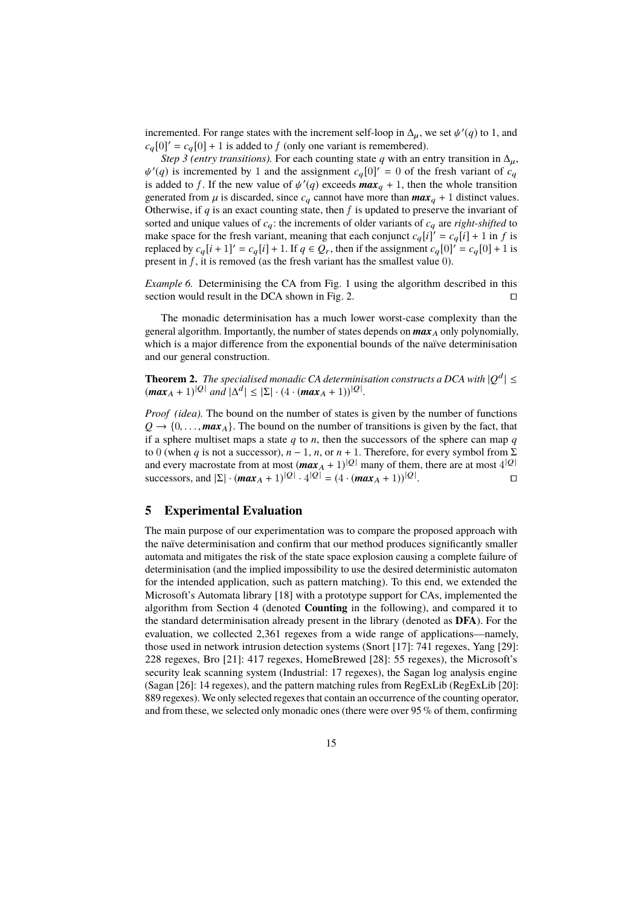incremented. For range states with the increment self-loop in  $\Delta_{\mu}$ , we set  $\psi'(q)$  to 1, and  $c$  [0]'  $-c$  [0] + 1 is added to f (only one variant is remembered)  $c_q[0]' = c_q[0] + 1$  is added to f (only one variant is remembered).

*Step 3 (entry transitions).* For each counting state *q* with an entry transition in  $\Delta_{\mu}$ , is added to f. If the new value of  $\psi'(q)$  exceeds  $max_q + 1$ , then the whole transition<br>generated from u is discarded since c. cannot have more than  $max_t + 1$  distinct values  $(q)$  is incremented by 1 and the assignment  $c_q[0]' = 0$  of the fresh variant of  $c_q$ generated from  $\mu$  is discarded, since  $c_q$  cannot have more than  $max_q + 1$  distinct values. Otherwise, if  $q$  is an exact counting state, then  $f$  is updated to preserve the invariant of sorted and unique values of *c*q: the increments of older variants of *c*<sup>q</sup> are *right-shifted* to make space for the fresh variant, meaning that each conjunct  $c_q[i]' = c_q[i] + 1$  in *f* is replaced by  $c_q[i+1]' = c_q[i]+1$ . If  $q \in Q_r$ , then if the assignment  $c_q[0]' = c_q[0]+1$  is present in  $f$ , it is removed (as the fresh variant has the smallest value 0).

*Example 6.* Determinising the CA from Fig. 1 using the algorithm described in this section would result in the DCA shown in Fig. 2.  $\Box$ 

The monadic determinisation has a much lower worst-case complexity than the general algorithm. Importantly, the number of states depends on  $max_A$  only polynomially, which is a major difference from the exponential bounds of the naïve determinisation and our general construction.

**Theorem 2.** The specialised monadic CA determinisation constructs a DCA with  $|Q^d|$   $\leq$  $(\max_A + 1)^{|Q|}$  *and*  $|\Delta^d| \leq |\Sigma| \cdot (4 \cdot (\max_A + 1))^{|Q|}$ .

*Proof (idea).* The bound on the number of states is given by the number of functions  $Q \rightarrow \{0, \ldots, \text{max}_A\}$ . The bound on the number of transitions is given by the fact, that if a sphere multiset maps a state  $q$  to  $n$ , then the successors of the sphere can map  $q$ to 0 (when *q* is not a successor),  $n - 1$ , *n*, or  $n + 1$ . Therefore, for every symbol from  $\Sigma$ and every macrostate from at most  $(max_A + 1)^{|Q|}$  many of them, there are at most  $4^{|Q|}$ successors, and  $|\Sigma| \cdot (max_A + 1)^{|Q|} \cdot 4^{|Q|} = (4 \cdot (max_A + 1))^{|Q|}$ .

# **5 Experimental Evaluation**

The main purpose of our experimentation was to compare the proposed approach with the naïve determinisation and confirm that our method produces significantly smaller automata and mitigates the risk of the state space explosion causing a complete failure of determinisation (and the implied impossibility to use the desired deterministic automaton for the intended application, such as pattern matching). To this end, we extended the Microsoft's Automata library [18] with a prototype support for CAs, implemented the algorithm from Section 4 (denoted **Counting** in the following), and compared it to the standard determinisation already present in the library (denoted as **DFA**). For the evaluation, we collected 2,361 regexes from a wide range of applications—namely, those used in network intrusion detection systems (Snort [17]: 741 regexes, Yang [29]: 228 regexes, Bro [21]: 417 regexes, HomeBrewed [28]: 55 regexes), the Microsoft's security leak scanning system (Industrial: 17 regexes), the Sagan log analysis engine (Sagan [26]: 14 regexes), and the pattern matching rules from  $\text{RegExLib}$  ( $\text{RegExLib}$  [20]: 889 regexes). We only selected regexes that contain an occurrence of the counting operator, and from these, we selected only monadic ones (there were over 95 % of them, confirming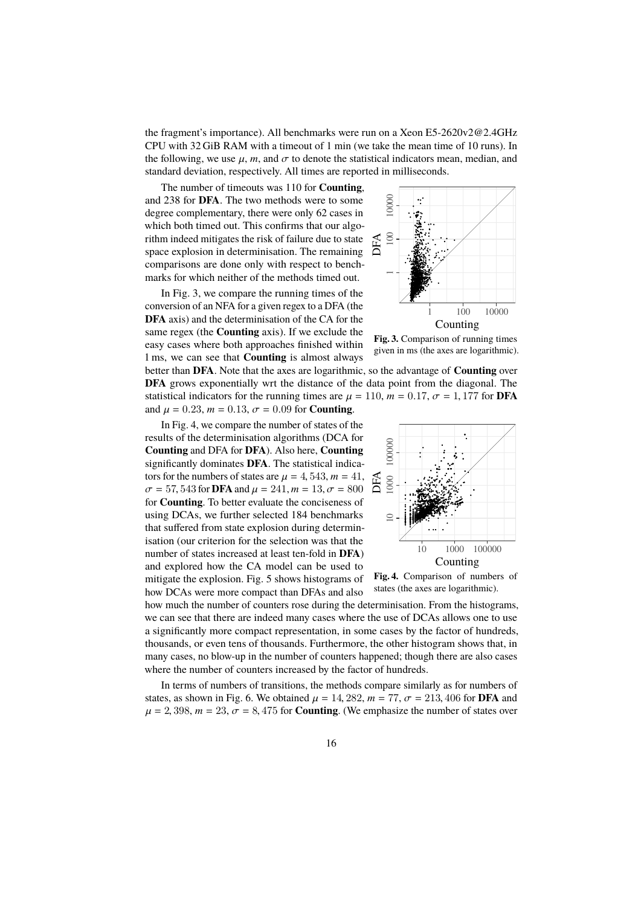the fragment's importance). All benchmarks were run on a Xeon E5-2620v2@2.4GHz CPU with 32 GiB RAM with a timeout of 1 min (we take the mean time of 10 runs). In the following, we use  $\mu$ , *m*, and  $\sigma$  to denote the statistical indicators mean, median, and standard deviation, respectively. All times are reported in milliseconds.

The number of timeouts was 110 for **Counting**, and 238 for **DFA**. The two methods were to some degree complementary, there were only 62 cases in which both timed out. This confirms that our algorithm indeed mitigates the risk of failure due to state space explosion in determinisation. The remaining comparisons are done only with respect to benchmarks for which neither of the methods timed out.

In Fig. 3, we compare the running times of the conversion of an NFA for a given regex to a DFA (the **DFA** axis) and the determinisation of the CA for the same regex (the **Counting** axis). If we exclude the easy cases where both approaches finished within 1 ms, we can see that **Counting** is almost always

better than **DFA**. Note that the axes are logarithmic, so the advantage of **Counting** over **DFA** grows exponentially wrt the distance of the data point from the diagonal. The statistical indicators for the running times are  $\mu = 110$ ,  $m = 0.17$ ,  $\sigma = 1$ , 177 for **DFA** and  $\mu = 0.23$ ,  $m = 0.13$ ,  $\sigma = 0.09$  for **Counting**.

In Fig. 4, we compare the number of states of the results of the determinisation algorithms (DCA for **Counting** and DFA for **DFA**). Also here, **Counting** significantly dominates **DFA**. The statistical indicators for the numbers of states are  $\mu = 4, 543, m = 41$ ,  $\sigma = 57, 543$  for **DFA** and  $\mu = 241$ ,  $m = 13$ ,  $\sigma = 800$ for **Counting**. To better evaluate the conciseness of using DCAs, we further selected 184 benchmarks that suffered from state explosion during determinisation (our criterion for the selection was that the number of states increased at least ten-fold in **DFA**) and explored how the CA model can be used to mitigate the explosion. Fig. 5 shows histograms of how DCAs were more compact than DFAs and also



**Fig. 3.** Comparison of running times given in ms (the axes are logarithmic).



**Fig. 4.** Comparison of numbers of states (the axes are logarithmic).

how much the number of counters rose during the determinisation. From the histograms, we can see that there are indeed many cases where the use of DCAs allows one to use a significantly more compact representation, in some cases by the factor of hundreds, thousands, or even tens of thousands. Furthermore, the other histogram shows that, in many cases, no blow-up in the number of counters happened; though there are also cases where the number of counters increased by the factor of hundreds.

In terms of numbers of transitions, the methods compare similarly as for numbers of states, as shown in Fig. 6. We obtained  $\mu = 14, 282, m = 77, \sigma = 213, 406$  for **DFA** and  $\mu = 2,398$ ,  $m = 23$ ,  $\sigma = 8,475$  for **Counting**. (We emphasize the number of states over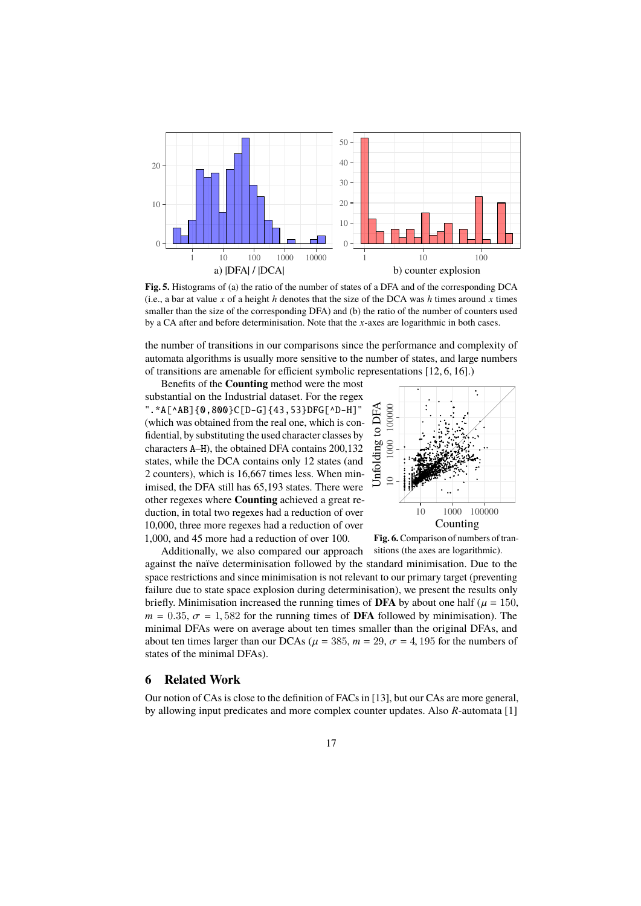

**Fig. 5.** Histograms of (a) the ratio of the number of states of a DFA and of the corresponding DCA (i.e., a bar at value  $x$  of a height  $h$  denotes that the size of the DCA was  $h$  times around  $x$  times smaller than the size of the corresponding DFA) and (b) the ratio of the number of counters used by a CA after and before determinisation. Note that the *x*-axes are logarithmic in both cases.

the number of transitions in our comparisons since the performance and complexity of automata algorithms is usually more sensitive to the number of states, and large numbers of transitions are amenable for efficient symbolic representations [12, 6, 16].)

Benefits of the **Counting** method were the most substantial on the Industrial dataset. For the regex ".\*A[^AB]{0,800}C[D-G]{43,53}DFG[^D-H]" (which was obtained from the real one, which is confidential, by substituting the used character classes by characters A–H), the obtained DFA contains 200,132 states, while the DCA contains only 12 states (and 2 counters), which is 16,667 times less. When minimised, the DFA still has 65,193 states. There were other regexes where **Counting** achieved a great reduction, in total two regexes had a reduction of over 10,000, three more regexes had a reduction of over 1,000, and 45 more had a reduction of over 100.



**Fig. 6.**Comparison of numbers of transitions (the axes are logarithmic).

Additionally, we also compared our approach against the naïve determinisation followed by the standard minimisation. Due to the space restrictions and since minimisation is not relevant to our primary target (preventing failure due to state space explosion during determinisation), we present the results only briefly. Minimisation increased the running times of **DFA** by about one half ( $\mu = 150$ ,  $m = 0.35$ ,  $\sigma = 1,582$  for the running times of **DFA** followed by minimisation). The minimal DFAs were on average about ten times smaller than the original DFAs, and about ten times larger than our DCAs ( $\mu = 385$ ,  $m = 29$ ,  $\sigma = 4$ , 195 for the numbers of states of the minimal DFAs).

# **6 Related Work**

Our notion of CAs is close to the definition of FACs in [13], but our CAs are more general, by allowing input predicates and more complex counter updates. Also *R*-automata [1]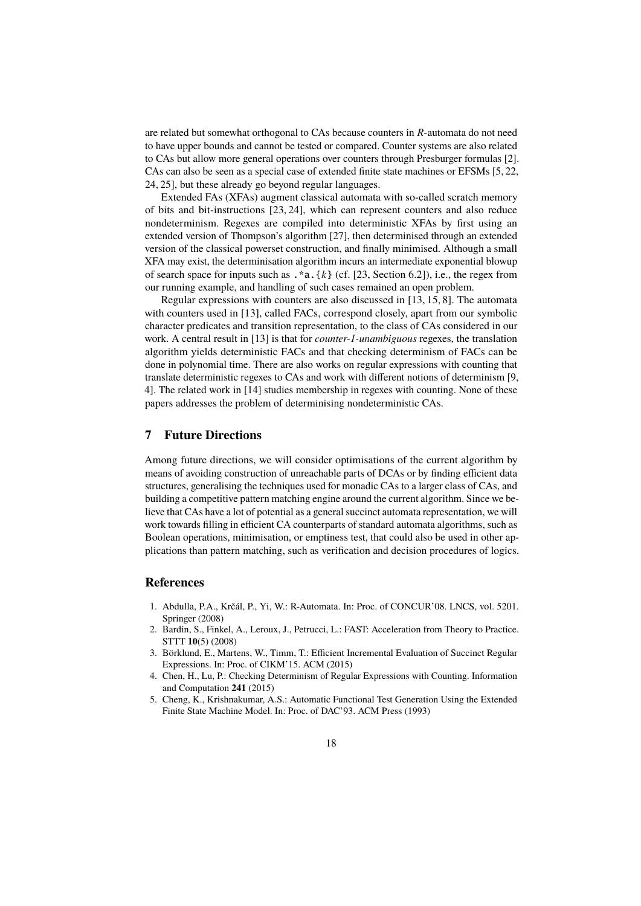are related but somewhat orthogonal to CAs because counters in *R*-automata do not need to have upper bounds and cannot be tested or compared. Counter systems are also related to CAs but allow more general operations over counters through Presburger formulas [2]. CAs can also be seen as a special case of extended finite state machines or EFSMs [5, 22, 24, 25], but these already go beyond regular languages.

Extended FAs (XFAs) augment classical automata with so-called scratch memory of bits and bit-instructions [23, 24], which can represent counters and also reduce nondeterminism. Regexes are compiled into deterministic XFAs by first using an extended version of Thompson's algorithm [27], then determinised through an extended version of the classical powerset construction, and finally minimised. Although a small XFA may exist, the determinisation algorithm incurs an intermediate exponential blowup of search space for inputs such as  $\cdot$  \*a. { $k$ } (cf. [23, Section 6.2]), i.e., the regex from our running example, and handling of such cases remained an open problem.

Regular expressions with counters are also discussed in [13, 15, 8]. The automata with counters used in [13], called FACs, correspond closely, apart from our symbolic character predicates and transition representation, to the class of CAs considered in our work. A central result in [13] is that for *counter-1-unambiguous* regexes, the translation algorithm yields deterministic FACs and that checking determinism of FACs can be done in polynomial time. There are also works on regular expressions with counting that translate deterministic regexes to CAs and work with different notions of determinism [9, 4]. The related work in [14] studies membership in regexes with counting. None of these papers addresses the problem of determinising nondeterministic CAs.

# **7 Future Directions**

Among future directions, we will consider optimisations of the current algorithm by means of avoiding construction of unreachable parts of DCAs or by finding efficient data structures, generalising the techniques used for monadic CAs to a larger class of CAs, and building a competitive pattern matching engine around the current algorithm. Since we believe that CAs have a lot of potential as a general succinct automata representation, we will work towards filling in efficient CA counterparts of standard automata algorithms, such as Boolean operations, minimisation, or emptiness test, that could also be used in other applications than pattern matching, such as verification and decision procedures of logics.

#### **References**

- 1. Abdulla, P.A., Krčál, P., Yi, W.: R-Automata. In: Proc. of CONCUR'08. LNCS, vol. 5201. Springer (2008)
- 2. Bardin, S., Finkel, A., Leroux, J., Petrucci, L.: FAST: Acceleration from Theory to Practice. STTT **10**(5) (2008)
- 3. Börklund, E., Martens, W., Timm, T.: Efficient Incremental Evaluation of Succinct Regular Expressions. In: Proc. of CIKM'15. ACM (2015)
- 4. Chen, H., Lu, P.: Checking Determinism of Regular Expressions with Counting. Information and Computation **241** (2015)
- 5. Cheng, K., Krishnakumar, A.S.: Automatic Functional Test Generation Using the Extended Finite State Machine Model. In: Proc. of DAC'93. ACM Press (1993)